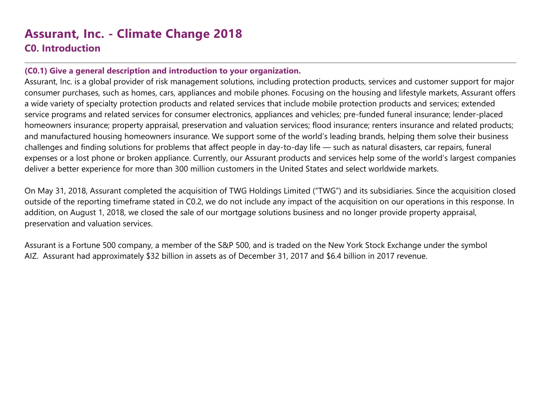# **Assurant, Inc. - Climate Change 2018**

# **C0. Introduction**

#### **(C0.1) Give a general description and introduction to your organization.**

Assurant, Inc. is a global provider of risk management solutions, including protection products, services and customer support for major consumer purchases, such as homes, cars, appliances and mobile phones. Focusing on the housing and lifestyle markets, Assurant offers a wide variety of specialty protection products and related services that include mobile protection products and services; extended service programs and related services for consumer electronics, appliances and vehicles; pre-funded funeral insurance; lender-placed homeowners insurance; property appraisal, preservation and valuation services; flood insurance; renters insurance and related products; and manufactured housing homeowners insurance. We support some of the world's leading brands, helping them solve their business challenges and finding solutions for problems that affect people in day-to-day life — such as natural disasters, car repairs, funeral expenses or a lost phone or broken appliance. Currently, our Assurant products and services help some of the world's largest companies deliver a better experience for more than 300 million customers in the United States and select worldwide markets.

On May 31, 2018, Assurant completed the acquisition of TWG Holdings Limited ("TWG") and its subsidiaries. Since the acquisition closed outside of the reporting timeframe stated in C0.2, we do not include any impact of the acquisition on our operations in this response. In addition, on August 1, 2018, we closed the sale of our mortgage solutions business and no longer provide property appraisal, preservation and valuation services.

Assurant is a Fortune 500 company, a member of the S&P 500, and is traded on the New York Stock Exchange under the symbol AIZ. Assurant had approximately \$32 billion in assets as of December 31, 2017 and \$6.4 billion in 2017 revenue.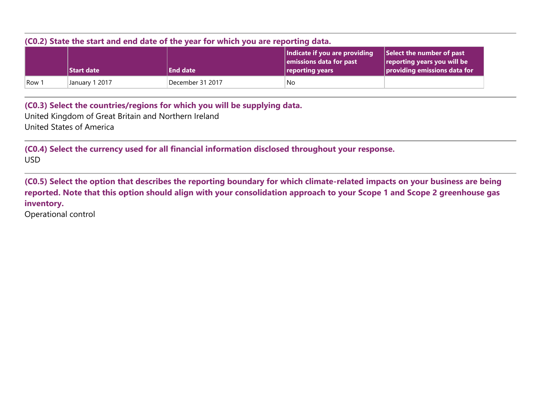| (C0.2) State the start and end date of the year for which you are reporting data. |                |                  |                                                                             |                                                                                              |
|-----------------------------------------------------------------------------------|----------------|------------------|-----------------------------------------------------------------------------|----------------------------------------------------------------------------------------------|
|                                                                                   | Start date     | <b>End date</b>  | Indicate if you are providing<br>emissions data for past<br>reporting years | Select the number of past<br>reporting years you will be<br>$ $ providing emissions data for |
| Row 1                                                                             | January 1 2017 | December 31 2017 | No                                                                          |                                                                                              |

**(C0.3) Select the countries/regions for which you will be supplying data.**

United Kingdom of Great Britain and Northern Ireland United States of America

**(C0.4) Select the currency used for all financial information disclosed throughout your response.** USD

**(C0.5) Select the option that describes the reporting boundary for which climate-related impacts on your business are being reported. Note that this option should align with your consolidation approach to your Scope 1 and Scope 2 greenhouse gas inventory.**

Operational control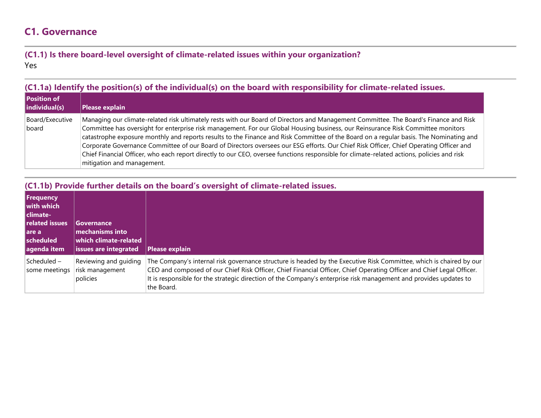# **C1. Governance**

#### **(C1.1) Is there board-level oversight of climate-related issues within your organization?** Yes

#### **(C1.1a) Identify the position(s) of the individual(s) on the board with responsibility for climate-related issues.**

| Position of<br>individual(s) | Please explain                                                                                                                                                                                                                                                                                                                                                                                                                                                                                                                                                                                                                                                                                                                            |
|------------------------------|-------------------------------------------------------------------------------------------------------------------------------------------------------------------------------------------------------------------------------------------------------------------------------------------------------------------------------------------------------------------------------------------------------------------------------------------------------------------------------------------------------------------------------------------------------------------------------------------------------------------------------------------------------------------------------------------------------------------------------------------|
| Board/Executive<br>board     | Managing our climate-related risk ultimately rests with our Board of Directors and Management Committee. The Board's Finance and Risk<br>Committee has oversight for enterprise risk management. For our Global Housing business, our Reinsurance Risk Committee monitors<br>catastrophe exposure monthly and reports results to the Finance and Risk Committee of the Board on a regular basis. The Nominating and<br>Corporate Governance Committee of our Board of Directors oversees our ESG efforts. Our Chief Risk Officer, Chief Operating Officer and<br>Chief Financial Officer, who each report directly to our CEO, oversee functions responsible for climate-related actions, policies and risk<br>mitigation and management. |

#### **(C1.1b) Provide further details on the board's oversight of climate-related issues.**

| <b>Frequency</b><br>with which<br>l climate-<br>related issues<br>l are a<br>scheduled<br>agenda item | Governance<br>mechanisms into<br>which climate-related<br><b>issues are integrated</b> | Please explain                                                                                                                                                                                                                                                                                                                                                                  |
|-------------------------------------------------------------------------------------------------------|----------------------------------------------------------------------------------------|---------------------------------------------------------------------------------------------------------------------------------------------------------------------------------------------------------------------------------------------------------------------------------------------------------------------------------------------------------------------------------|
| Scheduled -<br>some meetings                                                                          | Reviewing and guiding<br>risk management<br>policies                                   | The Company's internal risk governance structure is headed by the Executive Risk Committee, which is chaired by our<br>CEO and composed of our Chief Risk Officer, Chief Financial Officer, Chief Operating Officer and Chief Legal Officer.<br>It is responsible for the strategic direction of the Company's enterprise risk management and provides updates to<br>the Board. |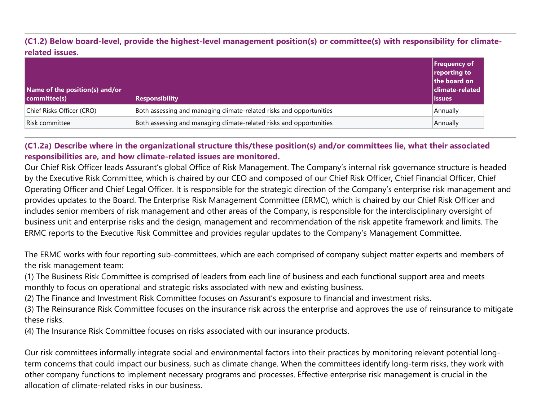**(C1.2) Below board-level, provide the highest-level management position(s) or committee(s) with responsibility for climaterelated issues.**

| Name of the position(s) and/or<br>committee(s) | <b>Responsibility</b>                                               | Frequency of<br>reporting to<br>the board on<br>$ \!\! $ climate-related<br><b>issues</b> |
|------------------------------------------------|---------------------------------------------------------------------|-------------------------------------------------------------------------------------------|
| Chief Risks Officer (CRO)                      | Both assessing and managing climate-related risks and opportunities | Annually                                                                                  |
| Risk committee                                 | Both assessing and managing climate-related risks and opportunities | Annually                                                                                  |

#### **(C1.2a) Describe where in the organizational structure this/these position(s) and/or committees lie, what their associated responsibilities are, and how climate-related issues are monitored.**

Our Chief Risk Officer leads Assurant's global Office of Risk Management. The Company's internal risk governance structure is headed by the Executive Risk Committee, which is chaired by our CEO and composed of our Chief Risk Officer, Chief Financial Officer, Chief Operating Officer and Chief Legal Officer. It is responsible for the strategic direction of the Company's enterprise risk management and provides updates to the Board. The Enterprise Risk Management Committee (ERMC), which is chaired by our Chief Risk Officer and includes senior members of risk management and other areas of the Company, is responsible for the interdisciplinary oversight of business unit and enterprise risks and the design, management and recommendation of the risk appetite framework and limits. The ERMC reports to the Executive Risk Committee and provides regular updates to the Company's Management Committee.

The ERMC works with four reporting sub-committees, which are each comprised of company subject matter experts and members of the risk management team:

(1) The Business Risk Committee is comprised of leaders from each line of business and each functional support area and meets monthly to focus on operational and strategic risks associated with new and existing business.

(2) The Finance and Investment Risk Committee focuses on Assurant's exposure to financial and investment risks.

(3) The Reinsurance Risk Committee focuses on the insurance risk across the enterprise and approves the use of reinsurance to mitigate these risks.

(4) The Insurance Risk Committee focuses on risks associated with our insurance products.

Our risk committees informally integrate social and environmental factors into their practices by monitoring relevant potential longterm concerns that could impact our business, such as climate change. When the committees identify long-term risks, they work with other company functions to implement necessary programs and processes. Effective enterprise risk management is crucial in the allocation of climate-related risks in our business.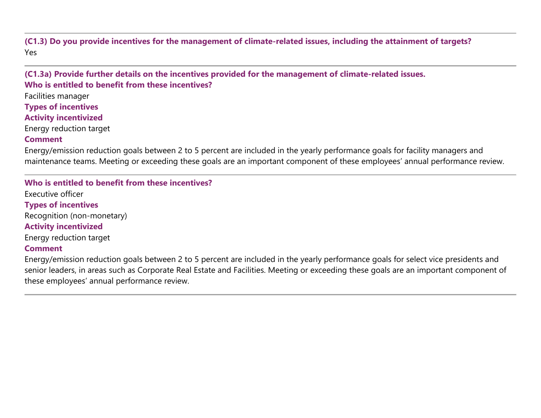**(C1.3) Do you provide incentives for the management of climate-related issues, including the attainment of targets?** Yes

**(C1.3a) Provide further details on the incentives provided for the management of climate-related issues. Who is entitled to benefit from these incentives?**

Facilities manager

**Types of incentives**

**Activity incentivized**

Energy reduction target

#### **Comment**

Energy/emission reduction goals between 2 to 5 percent are included in the yearly performance goals for facility managers and maintenance teams. Meeting or exceeding these goals are an important component of these employees' annual performance review.

**Who is entitled to benefit from these incentives?** Executive officer **Types of incentives** Recognition (non-monetary) **Activity incentivized** Energy reduction target **Comment**

Energy/emission reduction goals between 2 to 5 percent are included in the yearly performance goals for select vice presidents and senior leaders, in areas such as Corporate Real Estate and Facilities. Meeting or exceeding these goals are an important component of these employees' annual performance review.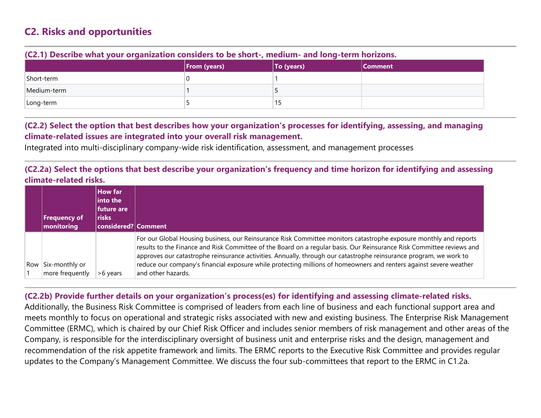# **C2. Risks and opportunities**

|             | $ $ From (years) | To (years) | Comment |
|-------------|------------------|------------|---------|
| Short-term  |                  |            |         |
| Medium-term |                  |            |         |
| Long-term   |                  | 13         |         |

#### **(C2.1) Describe what your organization considers to be short-, medium- and long-term horizons.**

#### **(C2.2) Select the option that best describes how your organization's processes for identifying, assessing, and managing climate-related issues are integrated into your overall risk management.**

Integrated into multi-disciplinary company-wide risk identification, assessment, and management processes

#### **(C2.2a) Select the options that best describe your organization's frequency and time horizon for identifying and assessing climate-related risks.**

|     | <b>Frequency of</b><br>monitoring | <b>How far</b><br>into the<br>future are<br><b>risks</b><br>considered? Comment |                                                                                                                                                                                                                                                                                                                                                                                                                                                                                                              |
|-----|-----------------------------------|---------------------------------------------------------------------------------|--------------------------------------------------------------------------------------------------------------------------------------------------------------------------------------------------------------------------------------------------------------------------------------------------------------------------------------------------------------------------------------------------------------------------------------------------------------------------------------------------------------|
| Row | Six-monthly or<br>more frequently | >6 years                                                                        | For our Global Housing business, our Reinsurance Risk Committee monitors catastrophe exposure monthly and reports<br>results to the Finance and Risk Committee of the Board on a regular basis. Our Reinsurance Risk Committee reviews and<br>approves our catastrophe reinsurance activities. Annually, through our catastrophe reinsurance program, we work to<br>reduce our company's financial exposure while protecting millions of homeowners and renters against severe weather<br>and other hazards. |

#### **(C2.2b) Provide further details on your organization's process(es) for identifying and assessing climate-related risks.**

Additionally, the Business Risk Committee is comprised of leaders from each line of business and each functional support area and meets monthly to focus on operational and strategic risks associated with new and existing business. The Enterprise Risk Management Committee (ERMC), which is chaired by our Chief Risk Officer and includes senior members of risk management and other areas of the Company, is responsible for the interdisciplinary oversight of business unit and enterprise risks and the design, management and recommendation of the risk appetite framework and limits. The ERMC reports to the Executive Risk Committee and provides regular updates to the Company's Management Committee. We discuss the four sub-committees that report to the ERMC in C1.2a.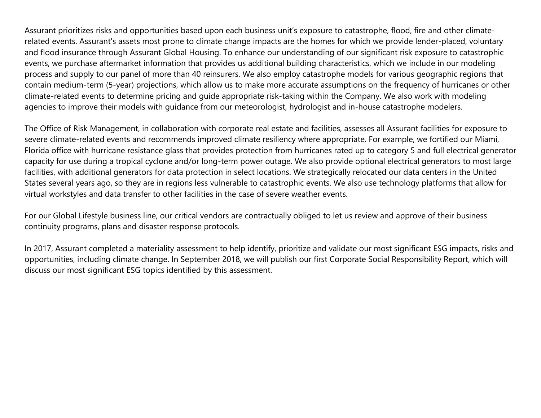Assurant prioritizes risks and opportunities based upon each business unit's exposure to catastrophe, flood, fire and other climaterelated events. Assurant's assets most prone to climate change impacts are the homes for which we provide lender-placed, voluntary and flood insurance through Assurant Global Housing. To enhance our understanding of our significant risk exposure to catastrophic events, we purchase aftermarket information that provides us additional building characteristics, which we include in our modeling process and supply to our panel of more than 40 reinsurers. We also employ catastrophe models for various geographic regions that contain medium-term (5-year) projections, which allow us to make more accurate assumptions on the frequency of hurricanes or other climate-related events to determine pricing and guide appropriate risk-taking within the Company. We also work with modeling agencies to improve their models with guidance from our meteorologist, hydrologist and in-house catastrophe modelers.

The Office of Risk Management, in collaboration with corporate real estate and facilities, assesses all Assurant facilities for exposure to severe climate-related events and recommends improved climate resiliency where appropriate. For example, we fortified our Miami, Florida office with hurricane resistance glass that provides protection from hurricanes rated up to category 5 and full electrical generator capacity for use during a tropical cyclone and/or long-term power outage. We also provide optional electrical generators to most large facilities, with additional generators for data protection in select locations. We strategically relocated our data centers in the United States several years ago, so they are in regions less vulnerable to catastrophic events. We also use technology platforms that allow for virtual workstyles and data transfer to other facilities in the case of severe weather events.

For our Global Lifestyle business line, our critical vendors are contractually obliged to let us review and approve of their business continuity programs, plans and disaster response protocols.

In 2017, Assurant completed a materiality assessment to help identify, prioritize and validate our most significant ESG impacts, risks and opportunities, including climate change. In September 2018, we will publish our first Corporate Social Responsibility Report, which will discuss our most significant ESG topics identified by this assessment.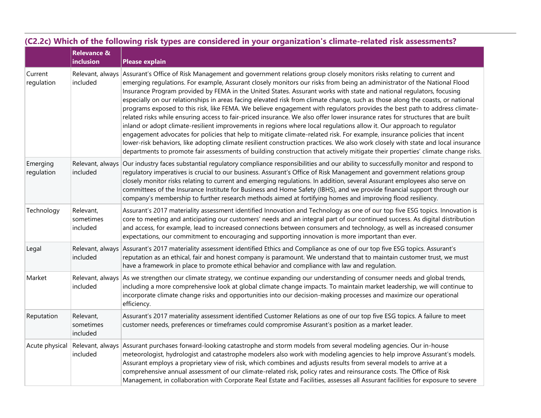|                        | (C2.2c) Which of the following risk types are considered in your organization's climate-related risk assessments? |                                                                                                                                                                                                                                                                                                                                                                                                                                                                                                                                                                                                                                                                                                                                                                                                                                                                                                                                                                                                                                                                                                                                                                                                                                                                                                                          |  |  |
|------------------------|-------------------------------------------------------------------------------------------------------------------|--------------------------------------------------------------------------------------------------------------------------------------------------------------------------------------------------------------------------------------------------------------------------------------------------------------------------------------------------------------------------------------------------------------------------------------------------------------------------------------------------------------------------------------------------------------------------------------------------------------------------------------------------------------------------------------------------------------------------------------------------------------------------------------------------------------------------------------------------------------------------------------------------------------------------------------------------------------------------------------------------------------------------------------------------------------------------------------------------------------------------------------------------------------------------------------------------------------------------------------------------------------------------------------------------------------------------|--|--|
|                        | <b>Relevance &amp;</b><br>inclusion                                                                               | <b>Please explain</b>                                                                                                                                                                                                                                                                                                                                                                                                                                                                                                                                                                                                                                                                                                                                                                                                                                                                                                                                                                                                                                                                                                                                                                                                                                                                                                    |  |  |
| Current<br>regulation  | included                                                                                                          | Relevant, always Assurant's Office of Risk Management and government relations group closely monitors risks relating to current and<br>emerging regulations. For example, Assurant closely monitors our risks from being an administrator of the National Flood<br>Insurance Program provided by FEMA in the United States. Assurant works with state and national regulators, focusing<br>especially on our relationships in areas facing elevated risk from climate change, such as those along the coasts, or national<br>programs exposed to this risk, like FEMA. We believe engagement with regulators provides the best path to address climate-<br>related risks while ensuring access to fair-priced insurance. We also offer lower insurance rates for structures that are built<br>inland or adopt climate-resilient improvements in regions where local regulations allow it. Our approach to regulator<br>engagement advocates for policies that help to mitigate climate-related risk. For example, insurance policies that incent<br>lower-risk behaviors, like adopting climate resilient construction practices. We also work closely with state and local insurance<br>departments to promote fair assessments of building construction that actively mitigate their properties' climate change risks. |  |  |
| Emerging<br>regulation | included                                                                                                          | Relevant, always Our industry faces substantial regulatory compliance responsibilities and our ability to successfully monitor and respond to<br>regulatory imperatives is crucial to our business. Assurant's Office of Risk Management and government relations group<br>closely monitor risks relating to current and emerging regulations. In addition, several Assurant employees also serve on<br>committees of the Insurance Institute for Business and Home Safety (IBHS), and we provide financial support through our<br>company's membership to further research methods aimed at fortifying homes and improving flood resiliency.                                                                                                                                                                                                                                                                                                                                                                                                                                                                                                                                                                                                                                                                            |  |  |
| Technology             | Relevant,<br>sometimes<br>included                                                                                | Assurant's 2017 materiality assessment identified Innovation and Technology as one of our top five ESG topics. Innovation is<br>core to meeting and anticipating our customers' needs and an integral part of our continued success. As digital distribution<br>and access, for example, lead to increased connections between consumers and technology, as well as increased consumer<br>expectations, our commitment to encouraging and supporting innovation is more important than ever.                                                                                                                                                                                                                                                                                                                                                                                                                                                                                                                                                                                                                                                                                                                                                                                                                             |  |  |
| Legal                  | included                                                                                                          | Relevant, always Assurant's 2017 materiality assessment identified Ethics and Compliance as one of our top five ESG topics. Assurant's<br>reputation as an ethical, fair and honest company is paramount. We understand that to maintain customer trust, we must<br>have a framework in place to promote ethical behavior and compliance with law and regulation.                                                                                                                                                                                                                                                                                                                                                                                                                                                                                                                                                                                                                                                                                                                                                                                                                                                                                                                                                        |  |  |
| Market                 | included                                                                                                          | Relevant, always As we strengthen our climate strategy, we continue expanding our understanding of consumer needs and global trends,<br>including a more comprehensive look at global climate change impacts. To maintain market leadership, we will continue to<br>incorporate climate change risks and opportunities into our decision-making processes and maximize our operational<br>efficiency.                                                                                                                                                                                                                                                                                                                                                                                                                                                                                                                                                                                                                                                                                                                                                                                                                                                                                                                    |  |  |
| Reputation             | Relevant,<br>sometimes<br>included                                                                                | Assurant's 2017 materiality assessment identified Customer Relations as one of our top five ESG topics. A failure to meet<br>customer needs, preferences or timeframes could compromise Assurant's position as a market leader.                                                                                                                                                                                                                                                                                                                                                                                                                                                                                                                                                                                                                                                                                                                                                                                                                                                                                                                                                                                                                                                                                          |  |  |
| Acute physical         | included                                                                                                          | Relevant, always Assurant purchases forward-looking catastrophe and storm models from several modeling agencies. Our in-house<br>meteorologist, hydrologist and catastrophe modelers also work with modeling agencies to help improve Assurant's models.<br>Assurant employs a proprietary view of risk, which combines and adjusts results from several models to arrive at a<br>comprehensive annual assessment of our climate-related risk, policy rates and reinsurance costs. The Office of Risk<br>Management, in collaboration with Corporate Real Estate and Facilities, assesses all Assurant facilities for exposure to severe                                                                                                                                                                                                                                                                                                                                                                                                                                                                                                                                                                                                                                                                                 |  |  |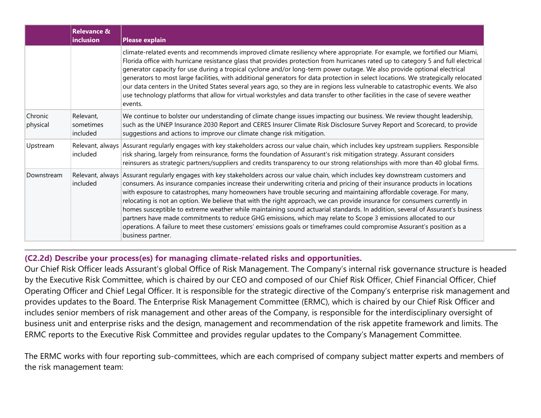|                     | <b>Relevance &amp;</b><br>inclusion | <b>Please explain</b>                                                                                                                                                                                                                                                                                                                                                                                                                                                                                                                                                                                                                                                                                                                                                                                                                                                                                                      |
|---------------------|-------------------------------------|----------------------------------------------------------------------------------------------------------------------------------------------------------------------------------------------------------------------------------------------------------------------------------------------------------------------------------------------------------------------------------------------------------------------------------------------------------------------------------------------------------------------------------------------------------------------------------------------------------------------------------------------------------------------------------------------------------------------------------------------------------------------------------------------------------------------------------------------------------------------------------------------------------------------------|
|                     |                                     | climate-related events and recommends improved climate resiliency where appropriate. For example, we fortified our Miami,<br>Florida office with hurricane resistance glass that provides protection from hurricanes rated up to category 5 and full electrical<br>generator capacity for use during a tropical cyclone and/or long-term power outage. We also provide optional electrical<br>generators to most large facilities, with additional generators for data protection in select locations. We strategically relocated<br>our data centers in the United States several years ago, so they are in regions less vulnerable to catastrophic events. We also<br>use technology platforms that allow for virtual workstyles and data transfer to other facilities in the case of severe weather<br>events.                                                                                                          |
| Chronic<br>physical | Relevant,<br>sometimes<br>included  | We continue to bolster our understanding of climate change issues impacting our business. We review thought leadership,<br>such as the UNEP Insurance 2030 Report and CERES Insurer Climate Risk Disclosure Survey Report and Scorecard, to provide<br>suggestions and actions to improve our climate change risk mitigation.                                                                                                                                                                                                                                                                                                                                                                                                                                                                                                                                                                                              |
| Upstream            | included                            | Relevant, always Assurant regularly engages with key stakeholders across our value chain, which includes key upstream suppliers. Responsible<br>risk sharing, largely from reinsurance, forms the foundation of Assurant's risk mitigation strategy. Assurant considers<br>reinsurers as strategic partners/suppliers and credits transparency to our strong relationships with more than 40 global firms.                                                                                                                                                                                                                                                                                                                                                                                                                                                                                                                 |
| Downstream          | included                            | Relevant, always Assurant regularly engages with key stakeholders across our value chain, which includes key downstream customers and<br>consumers. As insurance companies increase their underwriting criteria and pricing of their insurance products in locations<br>with exposure to catastrophes, many homeowners have trouble securing and maintaining affordable coverage. For many,<br>relocating is not an option. We believe that with the right approach, we can provide insurance for consumers currently in<br>homes susceptible to extreme weather while maintaining sound actuarial standards. In addition, several of Assurant's business<br>partners have made commitments to reduce GHG emissions, which may relate to Scope 3 emissions allocated to our<br>operations. A failure to meet these customers' emissions goals or timeframes could compromise Assurant's position as a<br>business partner. |

#### **(C2.2d) Describe your process(es) for managing climate-related risks and opportunities.**

Our Chief Risk Officer leads Assurant's global Office of Risk Management. The Company's internal risk governance structure is headed by the Executive Risk Committee, which is chaired by our CEO and composed of our Chief Risk Officer, Chief Financial Officer, Chief Operating Officer and Chief Legal Officer. It is responsible for the strategic directive of the Company's enterprise risk management and provides updates to the Board. The Enterprise Risk Management Committee (ERMC), which is chaired by our Chief Risk Officer and includes senior members of risk management and other areas of the Company, is responsible for the interdisciplinary oversight of business unit and enterprise risks and the design, management and recommendation of the risk appetite framework and limits. The ERMC reports to the Executive Risk Committee and provides regular updates to the Company's Management Committee.

The ERMC works with four reporting sub-committees, which are each comprised of company subject matter experts and members of the risk management team: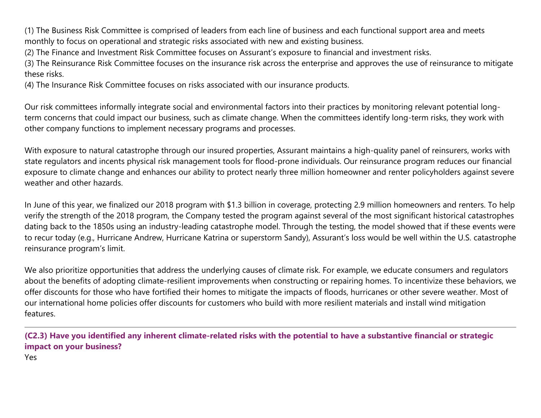(1) The Business Risk Committee is comprised of leaders from each line of business and each functional support area and meets monthly to focus on operational and strategic risks associated with new and existing business.

(2) The Finance and Investment Risk Committee focuses on Assurant's exposure to financial and investment risks.

(3) The Reinsurance Risk Committee focuses on the insurance risk across the enterprise and approves the use of reinsurance to mitigate these risks.

(4) The Insurance Risk Committee focuses on risks associated with our insurance products.

Our risk committees informally integrate social and environmental factors into their practices by monitoring relevant potential longterm concerns that could impact our business, such as climate change. When the committees identify long-term risks, they work with other company functions to implement necessary programs and processes.

With exposure to natural catastrophe through our insured properties, Assurant maintains a high-quality panel of reinsurers, works with state regulators and incents physical risk management tools for flood-prone individuals. Our reinsurance program reduces our financial exposure to climate change and enhances our ability to protect nearly three million homeowner and renter policyholders against severe weather and other hazards.

In June of this year, we finalized our 2018 program with \$1.3 billion in coverage, protecting 2.9 million homeowners and renters. To help verify the strength of the 2018 program, the Company tested the program against several of the most significant historical catastrophes dating back to the 1850s using an industry-leading catastrophe model. Through the testing, the model showed that if these events were to recur today (e.g., Hurricane Andrew, Hurricane Katrina or superstorm Sandy), Assurant's loss would be well within the U.S. catastrophe reinsurance program's limit.

We also prioritize opportunities that address the underlying causes of climate risk. For example, we educate consumers and regulators about the benefits of adopting climate-resilient improvements when constructing or repairing homes. To incentivize these behaviors, we offer discounts for those who have fortified their homes to mitigate the impacts of floods, hurricanes or other severe weather. Most of our international home policies offer discounts for customers who build with more resilient materials and install wind mitigation features.

**(C2.3) Have you identified any inherent climate-related risks with the potential to have a substantive financial or strategic impact on your business?**

Yes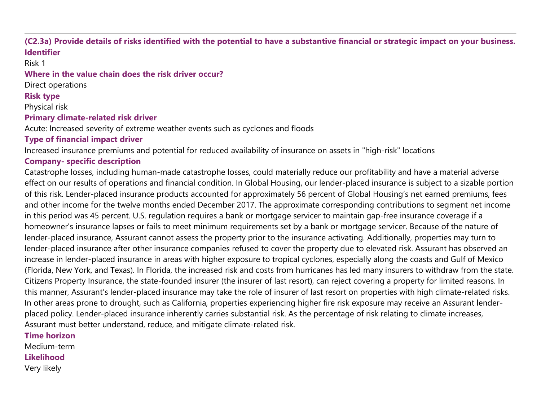#### **(C2.3a) Provide details of risks identified with the potential to have a substantive financial or strategic impact on your business. Identifier**

Risk 1

#### **Where in the value chain does the risk driver occur?**

Direct operations

**Risk type**

Physical risk

#### **Primary climate-related risk driver**

Acute: Increased severity of extreme weather events such as cyclones and floods

### **Type of financial impact driver**

Increased insurance premiums and potential for reduced availability of insurance on assets in "high-risk" locations

### **Company- specific description**

Catastrophe losses, including human-made catastrophe losses, could materially reduce our profitability and have a material adverse effect on our results of operations and financial condition. In Global Housing, our lender-placed insurance is subject to a sizable portion of this risk. Lender-placed insurance products accounted for approximately 56 percent of Global Housing's net earned premiums, fees and other income for the twelve months ended December 2017. The approximate corresponding contributions to segment net income in this period was 45 percent. U.S. regulation requires a bank or mortgage servicer to maintain gap-free insurance coverage if a homeowner's insurance lapses or fails to meet minimum requirements set by a bank or mortgage servicer. Because of the nature of lender-placed insurance, Assurant cannot assess the property prior to the insurance activating. Additionally, properties may turn to lender-placed insurance after other insurance companies refused to cover the property due to elevated risk. Assurant has observed an increase in lender-placed insurance in areas with higher exposure to tropical cyclones, especially along the coasts and Gulf of Mexico (Florida, New York, and Texas). In Florida, the increased risk and costs from hurricanes has led many insurers to withdraw from the state. Citizens Property Insurance, the state-founded insurer (the insurer of last resort), can reject covering a property for limited reasons. In this manner, Assurant's lender-placed insurance may take the role of insurer of last resort on properties with high climate-related risks. In other areas prone to drought, such as California, properties experiencing higher fire risk exposure may receive an Assurant lenderplaced policy. Lender-placed insurance inherently carries substantial risk. As the percentage of risk relating to climate increases, Assurant must better understand, reduce, and mitigate climate-related risk.

#### **Time horizon**

Medium-term **Likelihood** Very likely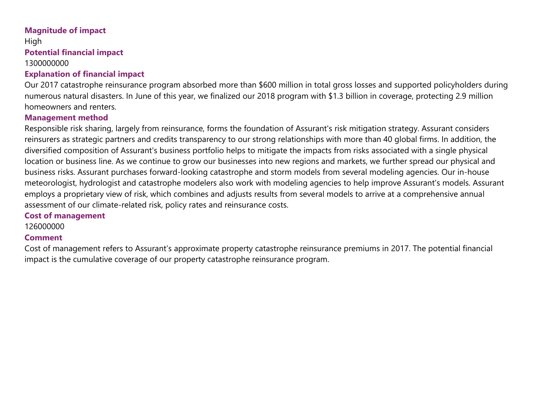#### **Magnitude of impact**

High **Potential financial impact**

#### 1300000000

#### **Explanation of financial impact**

Our 2017 catastrophe reinsurance program absorbed more than \$600 million in total gross losses and supported policyholders during numerous natural disasters. In June of this year, we finalized our 2018 program with \$1.3 billion in coverage, protecting 2.9 million homeowners and renters.

#### **Management method**

Responsible risk sharing, largely from reinsurance, forms the foundation of Assurant's risk mitigation strategy. Assurant considers reinsurers as strategic partners and credits transparency to our strong relationships with more than 40 global firms. In addition, the diversified composition of Assurant's business portfolio helps to mitigate the impacts from risks associated with a single physical location or business line. As we continue to grow our businesses into new regions and markets, we further spread our physical and business risks. Assurant purchases forward-looking catastrophe and storm models from several modeling agencies. Our in-house meteorologist, hydrologist and catastrophe modelers also work with modeling agencies to help improve Assurant's models. Assurant employs a proprietary view of risk, which combines and adjusts results from several models to arrive at a comprehensive annual assessment of our climate-related risk, policy rates and reinsurance costs.

#### **Cost of management**

126000000

### **Comment**

Cost of management refers to Assurant's approximate property catastrophe reinsurance premiums in 2017. The potential financial impact is the cumulative coverage of our property catastrophe reinsurance program.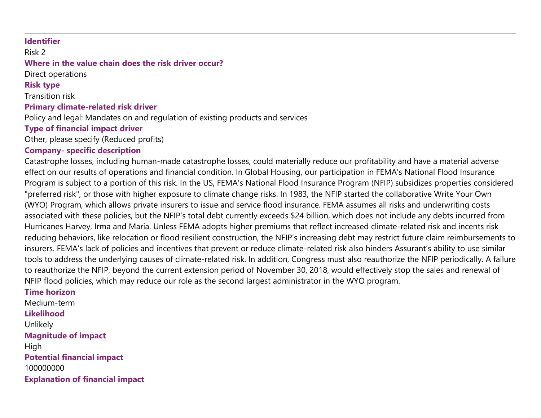#### **Identifier**

Risk 2

# **Where in the value chain does the risk driver occur?**

Direct operations

#### **Risk type**

Transition risk

#### **Primary climate-related risk driver**

Policy and legal: Mandates on and regulation of existing products and services

### **Type of financial impact driver**

Other, please specify (Reduced profits)

#### **Company- specific description**

Catastrophe losses, including human-made catastrophe losses, could materially reduce our profitability and have a material adverse effect on our results of operations and financial condition. In Global Housing, our participation in FEMA's National Flood Insurance Program is subject to a portion of this risk. In the US, FEMA's National Flood Insurance Program (NFIP) subsidizes properties considered "preferred risk", or those with higher exposure to climate change risks. In 1983, the NFIP started the collaborative Write Your Own (WYO) Program, which allows private insurers to issue and service flood insurance. FEMA assumes all risks and underwriting costs associated with these policies, but the NFIP's total debt currently exceeds \$24 billion, which does not include any debts incurred from Hurricanes Harvey, Irma and Maria. Unless FEMA adopts higher premiums that reflect increased climate-related risk and incents risk reducing behaviors, like relocation or flood resilient construction, the NFIP's increasing debt may restrict future claim reimbursements to insurers. FEMA's lack of policies and incentives that prevent or reduce climate-related risk also hinders Assurant's ability to use similar tools to address the underlying causes of climate-related risk. In addition, Congress must also reauthorize the NFIP periodically. A failure to reauthorize the NFIP, beyond the current extension period of November 30, 2018, would effectively stop the sales and renewal of NFIP flood policies, which may reduce our role as the second largest administrator in the WYO program.

#### **Time horizon**

Medium-term **Likelihood** Unlikely **Magnitude of impact** High **Potential financial impact** 100000000 **Explanation of financial impact**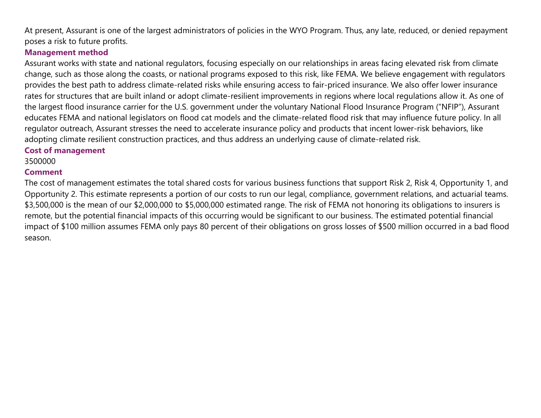At present, Assurant is one of the largest administrators of policies in the WYO Program. Thus, any late, reduced, or denied repayment poses a risk to future profits.

#### **Management method**

Assurant works with state and national regulators, focusing especially on our relationships in areas facing elevated risk from climate change, such as those along the coasts, or national programs exposed to this risk, like FEMA. We believe engagement with regulators provides the best path to address climate-related risks while ensuring access to fair-priced insurance. We also offer lower insurance rates for structures that are built inland or adopt climate-resilient improvements in regions where local regulations allow it. As one of the largest flood insurance carrier for the U.S. government under the voluntary National Flood Insurance Program ("NFIP"), Assurant educates FEMA and national legislators on flood cat models and the climate-related flood risk that may influence future policy. In all regulator outreach, Assurant stresses the need to accelerate insurance policy and products that incent lower-risk behaviors, like adopting climate resilient construction practices, and thus address an underlying cause of climate-related risk.

#### **Cost of management**

3500000

### **Comment**

The cost of management estimates the total shared costs for various business functions that support Risk 2, Risk 4, Opportunity 1, and Opportunity 2. This estimate represents a portion of our costs to run our legal, compliance, government relations, and actuarial teams. \$3,500,000 is the mean of our \$2,000,000 to \$5,000,000 estimated range. The risk of FEMA not honoring its obligations to insurers is remote, but the potential financial impacts of this occurring would be significant to our business. The estimated potential financial impact of \$100 million assumes FEMA only pays 80 percent of their obligations on gross losses of \$500 million occurred in a bad flood season.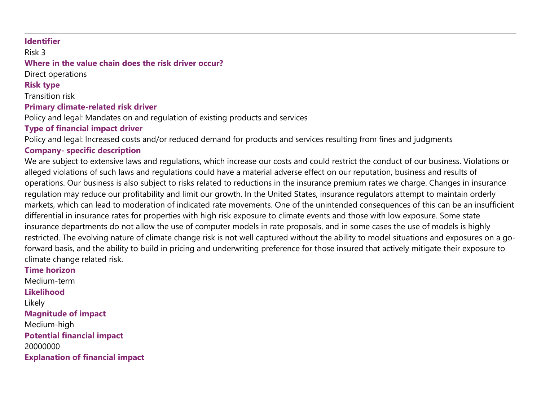#### **Identifier**

Risk 3

#### **Where in the value chain does the risk driver occur?**

Direct operations

#### **Risk type**

Transition risk

#### **Primary climate-related risk driver**

Policy and legal: Mandates on and regulation of existing products and services

### **Type of financial impact driver**

Policy and legal: Increased costs and/or reduced demand for products and services resulting from fines and judgments

#### **Company- specific description**

We are subject to extensive laws and regulations, which increase our costs and could restrict the conduct of our business. Violations or alleged violations of such laws and regulations could have a material adverse effect on our reputation, business and results of operations. Our business is also subject to risks related to reductions in the insurance premium rates we charge. Changes in insurance regulation may reduce our profitability and limit our growth. In the United States, insurance regulators attempt to maintain orderly markets, which can lead to moderation of indicated rate movements. One of the unintended consequences of this can be an insufficient differential in insurance rates for properties with high risk exposure to climate events and those with low exposure. Some state insurance departments do not allow the use of computer models in rate proposals, and in some cases the use of models is highly restricted. The evolving nature of climate change risk is not well captured without the ability to model situations and exposures on a goforward basis, and the ability to build in pricing and underwriting preference for those insured that actively mitigate their exposure to climate change related risk.

#### **Time horizon** Medium-term **Likelihood** Likely **Magnitude of impact** Medium-high **Potential financial impact** 20000000 **Explanation of financial impact**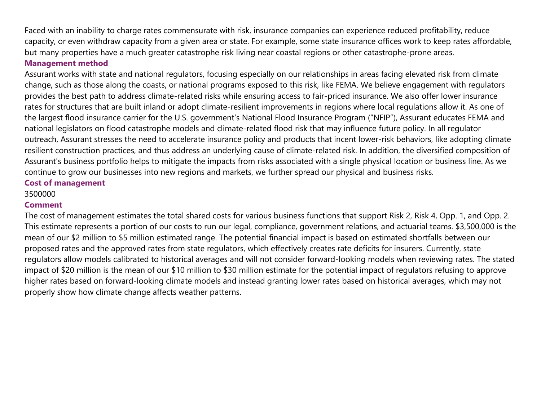Faced with an inability to charge rates commensurate with risk, insurance companies can experience reduced profitability, reduce capacity, or even withdraw capacity from a given area or state. For example, some state insurance offices work to keep rates affordable, but many properties have a much greater catastrophe risk living near coastal regions or other catastrophe-prone areas.

#### **Management method**

Assurant works with state and national regulators, focusing especially on our relationships in areas facing elevated risk from climate change, such as those along the coasts, or national programs exposed to this risk, like FEMA. We believe engagement with regulators provides the best path to address climate-related risks while ensuring access to fair-priced insurance. We also offer lower insurance rates for structures that are built inland or adopt climate-resilient improvements in regions where local regulations allow it. As one of the largest flood insurance carrier for the U.S. government's National Flood Insurance Program ("NFIP"), Assurant educates FEMA and national legislators on flood catastrophe models and climate-related flood risk that may influence future policy. In all regulator outreach, Assurant stresses the need to accelerate insurance policy and products that incent lower-risk behaviors, like adopting climate resilient construction practices, and thus address an underlying cause of climate-related risk. In addition, the diversified composition of Assurant's business portfolio helps to mitigate the impacts from risks associated with a single physical location or business line. As we continue to grow our businesses into new regions and markets, we further spread our physical and business risks.

#### **Cost of management**

3500000

#### **Comment**

The cost of management estimates the total shared costs for various business functions that support Risk 2, Risk 4, Opp. 1, and Opp. 2. This estimate represents a portion of our costs to run our legal, compliance, government relations, and actuarial teams. \$3,500,000 is the mean of our \$2 million to \$5 million estimated range. The potential financial impact is based on estimated shortfalls between our proposed rates and the approved rates from state regulators, which effectively creates rate deficits for insurers. Currently, state regulators allow models calibrated to historical averages and will not consider forward-looking models when reviewing rates. The stated impact of \$20 million is the mean of our \$10 million to \$30 million estimate for the potential impact of regulators refusing to approve higher rates based on forward-looking climate models and instead granting lower rates based on historical averages, which may not properly show how climate change affects weather patterns.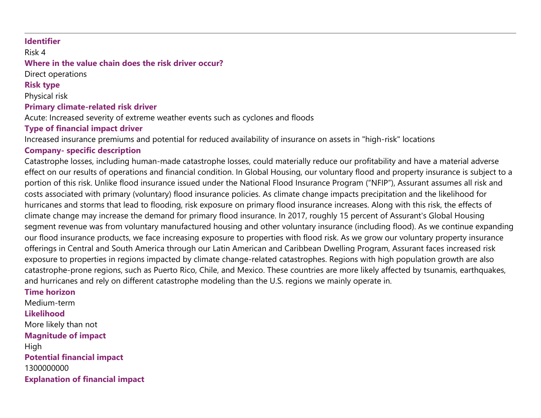#### **Identifier**

Risk 4

### **Where in the value chain does the risk driver occur?**

Direct operations

**Risk type**

Physical risk

#### **Primary climate-related risk driver**

Acute: Increased severity of extreme weather events such as cyclones and floods

### **Type of financial impact driver**

Increased insurance premiums and potential for reduced availability of insurance on assets in "high-risk" locations

### **Company- specific description**

Catastrophe losses, including human-made catastrophe losses, could materially reduce our profitability and have a material adverse effect on our results of operations and financial condition. In Global Housing, our voluntary flood and property insurance is subject to a portion of this risk. Unlike flood insurance issued under the National Flood Insurance Program ("NFIP"), Assurant assumes all risk and costs associated with primary (voluntary) flood insurance policies. As climate change impacts precipitation and the likelihood for hurricanes and storms that lead to flooding, risk exposure on primary flood insurance increases. Along with this risk, the effects of climate change may increase the demand for primary flood insurance. In 2017, roughly 15 percent of Assurant's Global Housing segment revenue was from voluntary manufactured housing and other voluntary insurance (including flood). As we continue expanding our flood insurance products, we face increasing exposure to properties with flood risk. As we grow our voluntary property insurance offerings in Central and South America through our Latin American and Caribbean Dwelling Program, Assurant faces increased risk exposure to properties in regions impacted by climate change-related catastrophes. Regions with high population growth are also catastrophe-prone regions, such as Puerto Rico, Chile, and Mexico. These countries are more likely affected by tsunamis, earthquakes, and hurricanes and rely on different catastrophe modeling than the U.S. regions we mainly operate in.

#### **Time horizon**

Medium-term **Likelihood** More likely than not **Magnitude of impact** High **Potential financial impact** 1300000000 **Explanation of financial impact**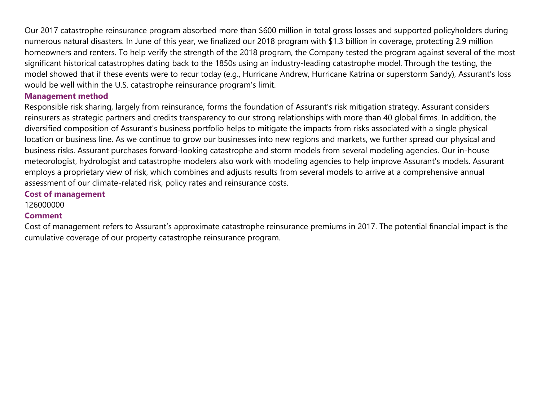Our 2017 catastrophe reinsurance program absorbed more than \$600 million in total gross losses and supported policyholders during numerous natural disasters. In June of this year, we finalized our 2018 program with \$1.3 billion in coverage, protecting 2.9 million homeowners and renters. To help verify the strength of the 2018 program, the Company tested the program against several of the most significant historical catastrophes dating back to the 1850s using an industry-leading catastrophe model. Through the testing, the model showed that if these events were to recur today (e.g., Hurricane Andrew, Hurricane Katrina or superstorm Sandy), Assurant's loss would be well within the U.S. catastrophe reinsurance program's limit.

#### **Management method**

Responsible risk sharing, largely from reinsurance, forms the foundation of Assurant's risk mitigation strategy. Assurant considers reinsurers as strategic partners and credits transparency to our strong relationships with more than 40 global firms. In addition, the diversified composition of Assurant's business portfolio helps to mitigate the impacts from risks associated with a single physical location or business line. As we continue to grow our businesses into new regions and markets, we further spread our physical and business risks. Assurant purchases forward-looking catastrophe and storm models from several modeling agencies. Our in-house meteorologist, hydrologist and catastrophe modelers also work with modeling agencies to help improve Assurant's models. Assurant employs a proprietary view of risk, which combines and adjusts results from several models to arrive at a comprehensive annual assessment of our climate-related risk, policy rates and reinsurance costs.

#### **Cost of management**

126000000

#### **Comment**

Cost of management refers to Assurant's approximate catastrophe reinsurance premiums in 2017. The potential financial impact is the cumulative coverage of our property catastrophe reinsurance program.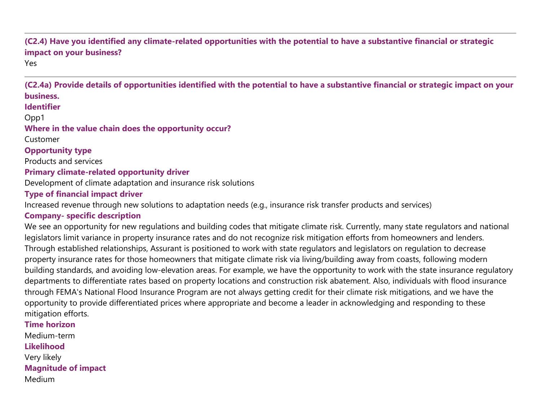# **(C2.4) Have you identified any climate-related opportunities with the potential to have a substantive financial or strategic impact on your business?**

Yes

**(C2.4a) Provide details of opportunities identified with the potential to have a substantive financial or strategic impact on your business.**

**Identifier**

Opp1

#### **Where in the value chain does the opportunity occur?**

Customer

**Opportunity type**

Products and services

#### **Primary climate-related opportunity driver**

Development of climate adaptation and insurance risk solutions

#### **Type of financial impact driver**

Increased revenue through new solutions to adaptation needs (e.g., insurance risk transfer products and services)

### **Company- specific description**

We see an opportunity for new regulations and building codes that mitigate climate risk. Currently, many state regulators and national legislators limit variance in property insurance rates and do not recognize risk mitigation efforts from homeowners and lenders. Through established relationships, Assurant is positioned to work with state regulators and legislators on regulation to decrease property insurance rates for those homeowners that mitigate climate risk via living/building away from coasts, following modern building standards, and avoiding low-elevation areas. For example, we have the opportunity to work with the state insurance regulatory departments to differentiate rates based on property locations and construction risk abatement. Also, individuals with flood insurance through FEMA's National Flood Insurance Program are not always getting credit for their climate risk mitigations, and we have the opportunity to provide differentiated prices where appropriate and become a leader in acknowledging and responding to these mitigation efforts.

**Time horizon** Medium-term **Likelihood** Very likely **Magnitude of impact** Medium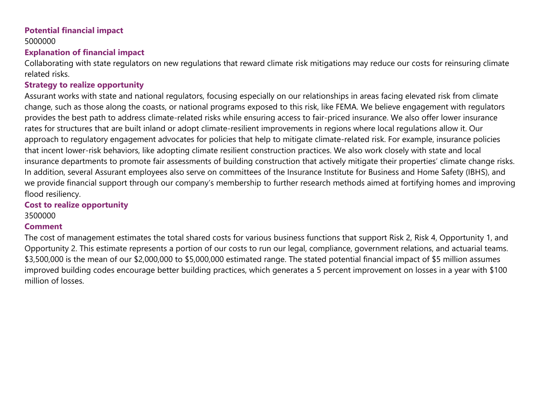# **Potential financial impact**

# 5000000

#### **Explanation of financial impact**

Collaborating with state regulators on new regulations that reward climate risk mitigations may reduce our costs for reinsuring climate related risks.

#### **Strategy to realize opportunity**

Assurant works with state and national regulators, focusing especially on our relationships in areas facing elevated risk from climate change, such as those along the coasts, or national programs exposed to this risk, like FEMA. We believe engagement with regulators provides the best path to address climate-related risks while ensuring access to fair-priced insurance. We also offer lower insurance rates for structures that are built inland or adopt climate-resilient improvements in regions where local regulations allow it. Our approach to regulatory engagement advocates for policies that help to mitigate climate-related risk. For example, insurance policies that incent lower-risk behaviors, like adopting climate resilient construction practices. We also work closely with state and local insurance departments to promote fair assessments of building construction that actively mitigate their properties' climate change risks. In addition, several Assurant employees also serve on committees of the Insurance Institute for Business and Home Safety (IBHS), and we provide financial support through our company's membership to further research methods aimed at fortifying homes and improving flood resiliency.

#### **Cost to realize opportunity**

#### 3500000

### **Comment**

The cost of management estimates the total shared costs for various business functions that support Risk 2, Risk 4, Opportunity 1, and Opportunity 2. This estimate represents a portion of our costs to run our legal, compliance, government relations, and actuarial teams. \$3,500,000 is the mean of our \$2,000,000 to \$5,000,000 estimated range. The stated potential financial impact of \$5 million assumes improved building codes encourage better building practices, which generates a 5 percent improvement on losses in a year with \$100 million of losses.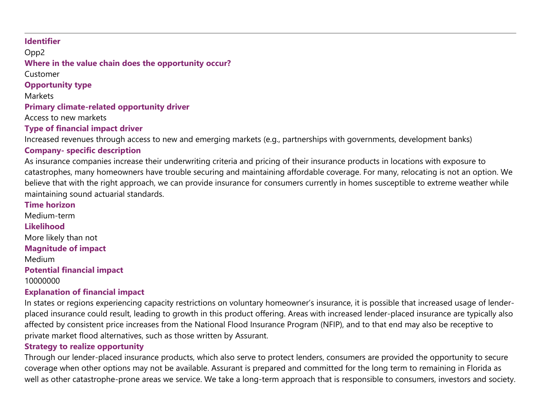#### **Identifier**

Opp2 **Where in the value chain does the opportunity occur?**

Customer

**Opportunity type**

**Markets** 

**Primary climate-related opportunity driver**

Access to new markets

#### **Type of financial impact driver**

Increased revenues through access to new and emerging markets (e.g., partnerships with governments, development banks)

#### **Company- specific description**

As insurance companies increase their underwriting criteria and pricing of their insurance products in locations with exposure to catastrophes, many homeowners have trouble securing and maintaining affordable coverage. For many, relocating is not an option. We believe that with the right approach, we can provide insurance for consumers currently in homes susceptible to extreme weather while maintaining sound actuarial standards.

#### **Time horizon**

Medium-term **Likelihood** More likely than not **Magnitude of impact** Medium

# **Potential financial impact**

10000000

# **Explanation of financial impact**

In states or regions experiencing capacity restrictions on voluntary homeowner's insurance, it is possible that increased usage of lenderplaced insurance could result, leading to growth in this product offering. Areas with increased lender-placed insurance are typically also affected by consistent price increases from the National Flood Insurance Program (NFIP), and to that end may also be receptive to private market flood alternatives, such as those written by Assurant.

### **Strategy to realize opportunity**

Through our lender-placed insurance products, which also serve to protect lenders, consumers are provided the opportunity to secure coverage when other options may not be available. Assurant is prepared and committed for the long term to remaining in Florida as well as other catastrophe-prone areas we service. We take a long-term approach that is responsible to consumers, investors and society.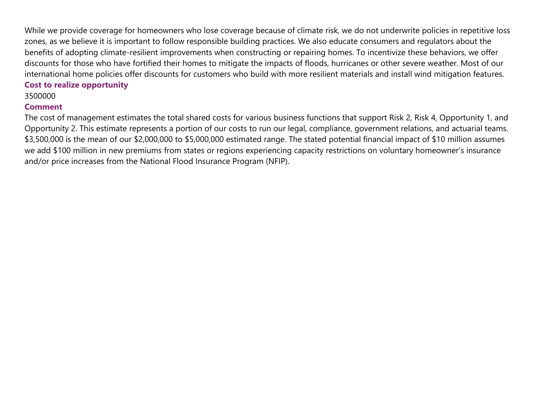While we provide coverage for homeowners who lose coverage because of climate risk, we do not underwrite policies in repetitive loss zones, as we believe it is important to follow responsible building practices. We also educate consumers and regulators about the benefits of adopting climate-resilient improvements when constructing or repairing homes. To incentivize these behaviors, we offer discounts for those who have fortified their homes to mitigate the impacts of floods, hurricanes or other severe weather. Most of our international home policies offer discounts for customers who build with more resilient materials and install wind mitigation features.

#### **Cost to realize opportunity**

#### 3500000

#### **Comment**

The cost of management estimates the total shared costs for various business functions that support Risk 2, Risk 4, Opportunity 1, and Opportunity 2. This estimate represents a portion of our costs to run our legal, compliance, government relations, and actuarial teams. \$3,500,000 is the mean of our \$2,000,000 to \$5,000,000 estimated range. The stated potential financial impact of \$10 million assumes we add \$100 million in new premiums from states or regions experiencing capacity restrictions on voluntary homeowner's insurance and/or price increases from the National Flood Insurance Program (NFIP).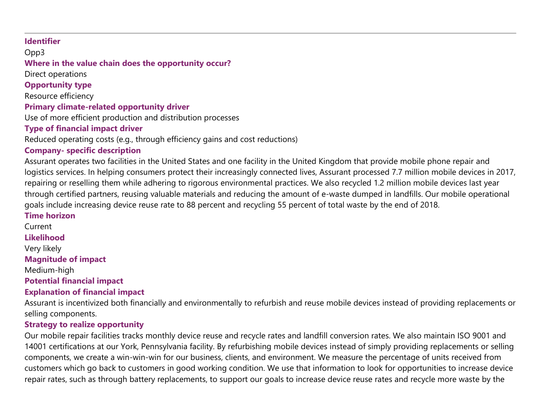#### **Identifier**

Opp3

# **Where in the value chain does the opportunity occur?**

Direct operations

# **Opportunity type**

Resource efficiency

#### **Primary climate-related opportunity driver**

Use of more efficient production and distribution processes

### **Type of financial impact driver**

Reduced operating costs (e.g., through efficiency gains and cost reductions)

#### **Company- specific description**

Assurant operates two facilities in the United States and one facility in the United Kingdom that provide mobile phone repair and logistics services. In helping consumers protect their increasingly connected lives, Assurant processed 7.7 million mobile devices in 2017, repairing or reselling them while adhering to rigorous environmental practices. We also recycled 1.2 million mobile devices last year through certified partners, reusing valuable materials and reducing the amount of e-waste dumped in landfills. Our mobile operational goals include increasing device reuse rate to 88 percent and recycling 55 percent of total waste by the end of 2018.

#### **Time horizon**

Current

#### **Likelihood**

Very likely

#### **Magnitude of impact**

Medium-high

#### **Potential financial impact**

### **Explanation of financial impact**

Assurant is incentivized both financially and environmentally to refurbish and reuse mobile devices instead of providing replacements or selling components.

#### **Strategy to realize opportunity**

Our mobile repair facilities tracks monthly device reuse and recycle rates and landfill conversion rates. We also maintain ISO 9001 and 14001 certifications at our York, Pennsylvania facility. By refurbishing mobile devices instead of simply providing replacements or selling components, we create a win-win-win for our business, clients, and environment. We measure the percentage of units received from customers which go back to customers in good working condition. We use that information to look for opportunities to increase device repair rates, such as through battery replacements, to support our goals to increase device reuse rates and recycle more waste by the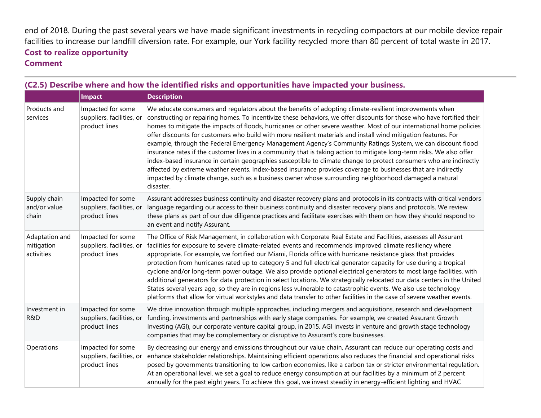end of 2018. During the past several years we have made significant investments in recycling compactors at our mobile device repair facilities to increase our landfill diversion rate. For example, our York facility recycled more than 80 percent of total waste in 2017. **Cost to realize opportunity Comment**

|                                            | Impact                                                          | <b>Description</b>                                                                                                                                                                                                                                                                                                                                                                                                                                                                                                                                                                                                                                                                                                                                                                                                                                                                                                                                                                                                                                                              |
|--------------------------------------------|-----------------------------------------------------------------|---------------------------------------------------------------------------------------------------------------------------------------------------------------------------------------------------------------------------------------------------------------------------------------------------------------------------------------------------------------------------------------------------------------------------------------------------------------------------------------------------------------------------------------------------------------------------------------------------------------------------------------------------------------------------------------------------------------------------------------------------------------------------------------------------------------------------------------------------------------------------------------------------------------------------------------------------------------------------------------------------------------------------------------------------------------------------------|
| Products and<br>services                   | Impacted for some<br>suppliers, facilities, or<br>product lines | We educate consumers and regulators about the benefits of adopting climate-resilient improvements when<br>constructing or repairing homes. To incentivize these behaviors, we offer discounts for those who have fortified their<br>homes to mitigate the impacts of floods, hurricanes or other severe weather. Most of our international home policies<br>offer discounts for customers who build with more resilient materials and install wind mitigation features. For<br>example, through the Federal Emergency Management Agency's Community Ratings System, we can discount flood<br>insurance rates if the customer lives in a community that is taking action to mitigate long-term risks. We also offer<br>index-based insurance in certain geographies susceptible to climate change to protect consumers who are indirectly<br>affected by extreme weather events. Index-based insurance provides coverage to businesses that are indirectly<br>impacted by climate change, such as a business owner whose surrounding neighborhood damaged a natural<br>disaster. |
| Supply chain<br>and/or value<br>chain      | Impacted for some<br>suppliers, facilities, or<br>product lines | Assurant addresses business continuity and disaster recovery plans and protocols in its contracts with critical vendors<br>language regarding our access to their business continuity and disaster recovery plans and protocols. We review<br>these plans as part of our due diligence practices and facilitate exercises with them on how they should respond to<br>an event and notify Assurant.                                                                                                                                                                                                                                                                                                                                                                                                                                                                                                                                                                                                                                                                              |
| Adaptation and<br>mitigation<br>activities | Impacted for some<br>suppliers, facilities, or<br>product lines | The Office of Risk Management, in collaboration with Corporate Real Estate and Facilities, assesses all Assurant<br>facilities for exposure to severe climate-related events and recommends improved climate resiliency where<br>appropriate. For example, we fortified our Miami, Florida office with hurricane resistance glass that provides<br>protection from hurricanes rated up to category 5 and full electrical generator capacity for use during a tropical<br>cyclone and/or long-term power outage. We also provide optional electrical generators to most large facilities, with<br>additional generators for data protection in select locations. We strategically relocated our data centers in the United<br>States several years ago, so they are in regions less vulnerable to catastrophic events. We also use technology<br>platforms that allow for virtual workstyles and data transfer to other facilities in the case of severe weather events.                                                                                                         |
| Investment in<br>R&D                       | Impacted for some<br>suppliers, facilities, or<br>product lines | We drive innovation through multiple approaches, including mergers and acquisitions, research and development<br>funding, investments and partnerships with early stage companies. For example, we created Assurant Growth<br>Investing (AGI), our corporate venture capital group, in 2015. AGI invests in venture and growth stage technology<br>companies that may be complementary or disruptive to Assurant's core businesses.                                                                                                                                                                                                                                                                                                                                                                                                                                                                                                                                                                                                                                             |
| Operations                                 | Impacted for some<br>suppliers, facilities, or<br>product lines | By decreasing our energy and emissions throughout our value chain, Assurant can reduce our operating costs and<br>enhance stakeholder relationships. Maintaining efficient operations also reduces the financial and operational risks<br>posed by governments transitioning to low carbon economies, like a carbon tax or stricter environmental regulation.<br>At an operational level, we set a goal to reduce energy consumption at our facilities by a minimum of 2 percent<br>annually for the past eight years. To achieve this goal, we invest steadily in energy-efficient lighting and HVAC                                                                                                                                                                                                                                                                                                                                                                                                                                                                           |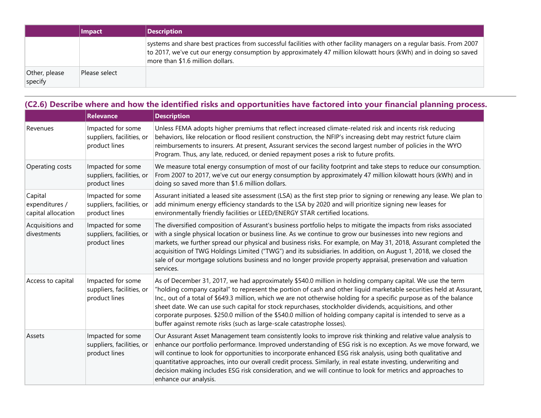|                          | Impact        | <b>Description</b>                                                                                                                                                                                                                                                             |
|--------------------------|---------------|--------------------------------------------------------------------------------------------------------------------------------------------------------------------------------------------------------------------------------------------------------------------------------|
|                          |               | systems and share best practices from successful facilities with other facility managers on a regular basis. From 2007<br>to 2017, we've cut our energy consumption by approximately 47 million kilowatt hours (kWh) and in doing so saved<br>more than \$1.6 million dollars. |
| Other, please<br>specify | Please select |                                                                                                                                                                                                                                                                                |

|                                                 | <b>Relevance</b>                                                | <b>Description</b>                                                                                                                                                                                                                                                                                                                                                                                                                                                                                                                                                                                                                                                |
|-------------------------------------------------|-----------------------------------------------------------------|-------------------------------------------------------------------------------------------------------------------------------------------------------------------------------------------------------------------------------------------------------------------------------------------------------------------------------------------------------------------------------------------------------------------------------------------------------------------------------------------------------------------------------------------------------------------------------------------------------------------------------------------------------------------|
| Revenues                                        | Impacted for some<br>suppliers, facilities, or<br>product lines | Unless FEMA adopts higher premiums that reflect increased climate-related risk and incents risk reducing<br>behaviors, like relocation or flood resilient construction, the NFIP's increasing debt may restrict future claim<br>reimbursements to insurers. At present, Assurant services the second largest number of policies in the WYO<br>Program. Thus, any late, reduced, or denied repayment poses a risk to future profits.                                                                                                                                                                                                                               |
| Operating costs                                 | Impacted for some<br>suppliers, facilities, or<br>product lines | We measure total energy consumption of most of our facility footprint and take steps to reduce our consumption.<br>From 2007 to 2017, we've cut our energy consumption by approximately 47 million kilowatt hours (kWh) and in<br>doing so saved more than \$1.6 million dollars.                                                                                                                                                                                                                                                                                                                                                                                 |
| Capital<br>expenditures /<br>capital allocation | Impacted for some<br>suppliers, facilities, or<br>product lines | Assurant initiated a leased site assessment (LSA) as the first step prior to signing or renewing any lease. We plan to<br>add minimum energy efficiency standards to the LSA by 2020 and will prioritize signing new leases for<br>environmentally friendly facilities or LEED/ENERGY STAR certified locations.                                                                                                                                                                                                                                                                                                                                                   |
| Acquisitions and<br>divestments                 | Impacted for some<br>suppliers, facilities, or<br>product lines | The diversified composition of Assurant's business portfolio helps to mitigate the impacts from risks associated<br>with a single physical location or business line. As we continue to grow our businesses into new regions and<br>markets, we further spread our physical and business risks. For example, on May 31, 2018, Assurant completed the<br>acquisition of TWG Holdings Limited ("TWG") and its subsidiaries. In addition, on August 1, 2018, we closed the<br>sale of our mortgage solutions business and no longer provide property appraisal, preservation and valuation<br>services.                                                              |
| Access to capital                               | Impacted for some<br>suppliers, facilities, or<br>product lines | As of December 31, 2017, we had approximately \$540.0 million in holding company capital. We use the term<br>"holding company capital" to represent the portion of cash and other liquid marketable securities held at Assurant,<br>Inc., out of a total of \$649.3 million, which we are not otherwise holding for a specific purpose as of the balance<br>sheet date. We can use such capital for stock repurchases, stockholder dividends, acquisitions, and other<br>corporate purposes. \$250.0 million of the \$540.0 million of holding company capital is intended to serve as a<br>buffer against remote risks (such as large-scale catastrophe losses). |
| Assets                                          | Impacted for some<br>suppliers, facilities, or<br>product lines | Our Assurant Asset Management team consistently looks to improve risk thinking and relative value analysis to<br>enhance our portfolio performance. Improved understanding of ESG risk is no exception. As we move forward, we<br>will continue to look for opportunities to incorporate enhanced ESG risk analysis, using both qualitative and<br>quantitative approaches, into our overall credit process. Similarly, in real estate investing, underwriting and<br>decision making includes ESG risk consideration, and we will continue to look for metrics and approaches to<br>enhance our analysis.                                                        |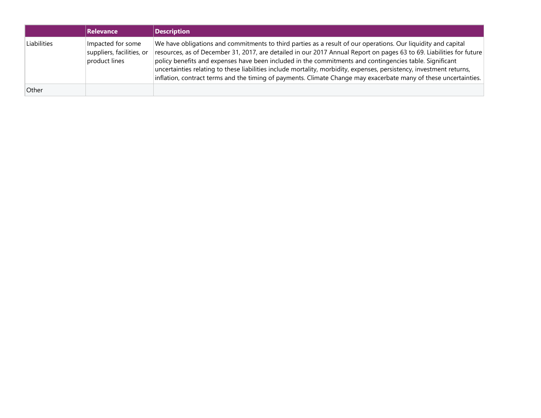|             | Relevance                                                       | <b>Description</b>                                                                                                                                                                                                                                                                                                                                                                                                                                                                                                                                                                           |
|-------------|-----------------------------------------------------------------|----------------------------------------------------------------------------------------------------------------------------------------------------------------------------------------------------------------------------------------------------------------------------------------------------------------------------------------------------------------------------------------------------------------------------------------------------------------------------------------------------------------------------------------------------------------------------------------------|
| Liabilities | Impacted for some<br>suppliers, facilities, or<br>product lines | We have obligations and commitments to third parties as a result of our operations. Our liquidity and capital<br>resources, as of December 31, 2017, are detailed in our 2017 Annual Report on pages 63 to 69. Liabilities for future<br>policy benefits and expenses have been included in the commitments and contingencies table. Significant<br>uncertainties relating to these liabilities include mortality, morbidity, expenses, persistency, investment returns,<br>inflation, contract terms and the timing of payments. Climate Change may exacerbate many of these uncertainties. |
| Other       |                                                                 |                                                                                                                                                                                                                                                                                                                                                                                                                                                                                                                                                                                              |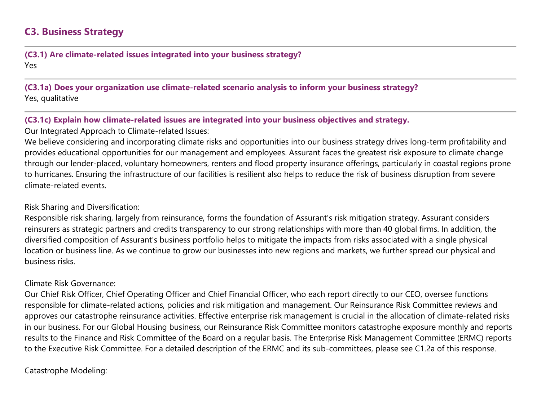# **C3. Business Strategy**

**(C3.1) Are climate-related issues integrated into your business strategy?** Yes

**(C3.1a) Does your organization use climate-related scenario analysis to inform your business strategy?** Yes, qualitative

#### **(C3.1c) Explain how climate-related issues are integrated into your business objectives and strategy.**

Our Integrated Approach to Climate-related Issues:

We believe considering and incorporating climate risks and opportunities into our business strategy drives long-term profitability and provides educational opportunities for our management and employees. Assurant faces the greatest risk exposure to climate change through our lender-placed, voluntary homeowners, renters and flood property insurance offerings, particularly in coastal regions prone to hurricanes. Ensuring the infrastructure of our facilities is resilient also helps to reduce the risk of business disruption from severe climate-related events.

#### Risk Sharing and Diversification:

Responsible risk sharing, largely from reinsurance, forms the foundation of Assurant's risk mitigation strategy. Assurant considers reinsurers as strategic partners and credits transparency to our strong relationships with more than 40 global firms. In addition, the diversified composition of Assurant's business portfolio helps to mitigate the impacts from risks associated with a single physical location or business line. As we continue to grow our businesses into new regions and markets, we further spread our physical and business risks.

#### Climate Risk Governance:

Our Chief Risk Officer, Chief Operating Officer and Chief Financial Officer, who each report directly to our CEO, oversee functions responsible for climate-related actions, policies and risk mitigation and management. Our Reinsurance Risk Committee reviews and approves our catastrophe reinsurance activities. Effective enterprise risk management is crucial in the allocation of climate-related risks in our business. For our Global Housing business, our Reinsurance Risk Committee monitors catastrophe exposure monthly and reports results to the Finance and Risk Committee of the Board on a regular basis. The Enterprise Risk Management Committee (ERMC) reports to the Executive Risk Committee. For a detailed description of the ERMC and its sub-committees, please see C1.2a of this response.

#### Catastrophe Modeling: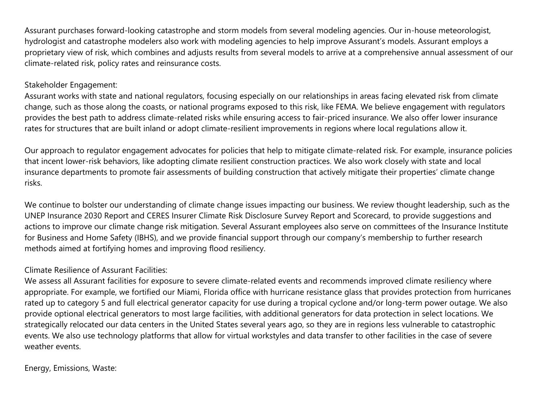Assurant purchases forward-looking catastrophe and storm models from several modeling agencies. Our in-house meteorologist, hydrologist and catastrophe modelers also work with modeling agencies to help improve Assurant's models. Assurant employs a proprietary view of risk, which combines and adjusts results from several models to arrive at a comprehensive annual assessment of our climate-related risk, policy rates and reinsurance costs.

#### Stakeholder Engagement:

Assurant works with state and national regulators, focusing especially on our relationships in areas facing elevated risk from climate change, such as those along the coasts, or national programs exposed to this risk, like FEMA. We believe engagement with regulators provides the best path to address climate-related risks while ensuring access to fair-priced insurance. We also offer lower insurance rates for structures that are built inland or adopt climate-resilient improvements in regions where local regulations allow it.

Our approach to regulator engagement advocates for policies that help to mitigate climate-related risk. For example, insurance policies that incent lower-risk behaviors, like adopting climate resilient construction practices. We also work closely with state and local insurance departments to promote fair assessments of building construction that actively mitigate their properties' climate change risks.

We continue to bolster our understanding of climate change issues impacting our business. We review thought leadership, such as the UNEP Insurance 2030 Report and CERES Insurer Climate Risk Disclosure Survey Report and Scorecard, to provide suggestions and actions to improve our climate change risk mitigation. Several Assurant employees also serve on committees of the Insurance Institute for Business and Home Safety (IBHS), and we provide financial support through our company's membership to further research methods aimed at fortifying homes and improving flood resiliency.

#### Climate Resilience of Assurant Facilities:

We assess all Assurant facilities for exposure to severe climate-related events and recommends improved climate resiliency where appropriate. For example, we fortified our Miami, Florida office with hurricane resistance glass that provides protection from hurricanes rated up to category 5 and full electrical generator capacity for use during a tropical cyclone and/or long-term power outage. We also provide optional electrical generators to most large facilities, with additional generators for data protection in select locations. We strategically relocated our data centers in the United States several years ago, so they are in regions less vulnerable to catastrophic events. We also use technology platforms that allow for virtual workstyles and data transfer to other facilities in the case of severe weather events.

Energy, Emissions, Waste: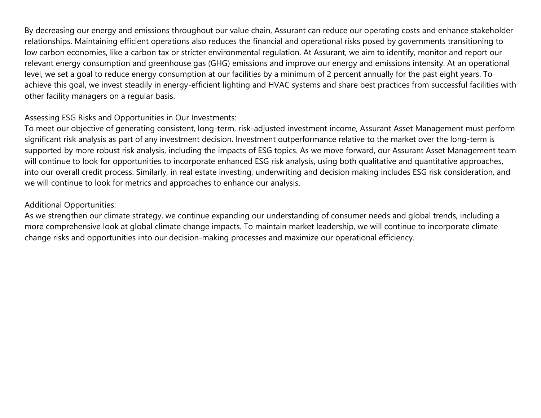By decreasing our energy and emissions throughout our value chain, Assurant can reduce our operating costs and enhance stakeholder relationships. Maintaining efficient operations also reduces the financial and operational risks posed by governments transitioning to low carbon economies, like a carbon tax or stricter environmental regulation. At Assurant, we aim to identify, monitor and report our relevant energy consumption and greenhouse gas (GHG) emissions and improve our energy and emissions intensity. At an operational level, we set a goal to reduce energy consumption at our facilities by a minimum of 2 percent annually for the past eight years. To achieve this goal, we invest steadily in energy-efficient lighting and HVAC systems and share best practices from successful facilities with other facility managers on a regular basis.

#### Assessing ESG Risks and Opportunities in Our Investments:

To meet our objective of generating consistent, long-term, risk-adjusted investment income, Assurant Asset Management must perform significant risk analysis as part of any investment decision. Investment outperformance relative to the market over the long-term is supported by more robust risk analysis, including the impacts of ESG topics. As we move forward, our Assurant Asset Management team will continue to look for opportunities to incorporate enhanced ESG risk analysis, using both qualitative and quantitative approaches, into our overall credit process. Similarly, in real estate investing, underwriting and decision making includes ESG risk consideration, and we will continue to look for metrics and approaches to enhance our analysis.

#### Additional Opportunities:

As we strengthen our climate strategy, we continue expanding our understanding of consumer needs and global trends, including a more comprehensive look at global climate change impacts. To maintain market leadership, we will continue to incorporate climate change risks and opportunities into our decision-making processes and maximize our operational efficiency.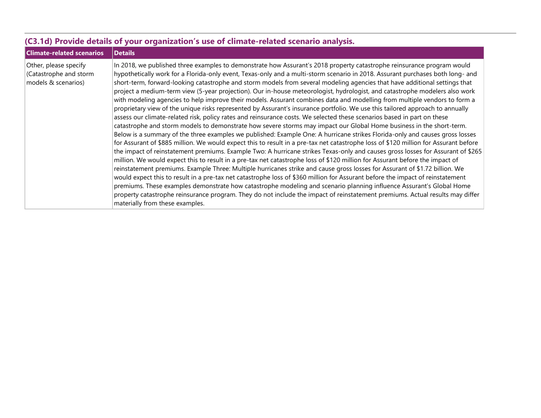| (C3.1d) Provide details of your organization's use of climate-related scenario analysis. |                                                                                                                                                                                                                                                                                                                                                                                                                                                                                                                                                                                                                                                                                                                                                                                                                                                                                                                                                                                                                                                                                                                                                                                                                                                                                                                                                                                                                                                                                                                                                                                                                                                                                                                                                                                                                                                                                                                                                                                                                                                                                                                                                |  |  |  |  |  |
|------------------------------------------------------------------------------------------|------------------------------------------------------------------------------------------------------------------------------------------------------------------------------------------------------------------------------------------------------------------------------------------------------------------------------------------------------------------------------------------------------------------------------------------------------------------------------------------------------------------------------------------------------------------------------------------------------------------------------------------------------------------------------------------------------------------------------------------------------------------------------------------------------------------------------------------------------------------------------------------------------------------------------------------------------------------------------------------------------------------------------------------------------------------------------------------------------------------------------------------------------------------------------------------------------------------------------------------------------------------------------------------------------------------------------------------------------------------------------------------------------------------------------------------------------------------------------------------------------------------------------------------------------------------------------------------------------------------------------------------------------------------------------------------------------------------------------------------------------------------------------------------------------------------------------------------------------------------------------------------------------------------------------------------------------------------------------------------------------------------------------------------------------------------------------------------------------------------------------------------------|--|--|--|--|--|
| <b>Climate-related scenarios</b>                                                         | <b>Details</b>                                                                                                                                                                                                                                                                                                                                                                                                                                                                                                                                                                                                                                                                                                                                                                                                                                                                                                                                                                                                                                                                                                                                                                                                                                                                                                                                                                                                                                                                                                                                                                                                                                                                                                                                                                                                                                                                                                                                                                                                                                                                                                                                 |  |  |  |  |  |
| Other, please specify<br>(Catastrophe and storm<br>models & scenarios)                   | In 2018, we published three examples to demonstrate how Assurant's 2018 property catastrophe reinsurance program would<br>hypothetically work for a Florida-only event, Texas-only and a multi-storm scenario in 2018. Assurant purchases both long- and<br>short-term, forward-looking catastrophe and storm models from several modeling agencies that have additional settings that<br>project a medium-term view (5-year projection). Our in-house meteorologist, hydrologist, and catastrophe modelers also work<br>with modeling agencies to help improve their models. Assurant combines data and modelling from multiple vendors to form a<br>proprietary view of the unique risks represented by Assurant's insurance portfolio. We use this tailored approach to annually<br>assess our climate-related risk, policy rates and reinsurance costs. We selected these scenarios based in part on these<br>catastrophe and storm models to demonstrate how severe storms may impact our Global Home business in the short-term.<br>Below is a summary of the three examples we published: Example One: A hurricane strikes Florida-only and causes gross losses<br>for Assurant of \$885 million. We would expect this to result in a pre-tax net catastrophe loss of \$120 million for Assurant before<br>the impact of reinstatement premiums. Example Two: A hurricane strikes Texas-only and causes gross losses for Assurant of \$265<br>million. We would expect this to result in a pre-tax net catastrophe loss of \$120 million for Assurant before the impact of<br>reinstatement premiums. Example Three: Multiple hurricanes strike and cause gross losses for Assurant of \$1.72 billion. We<br>would expect this to result in a pre-tax net catastrophe loss of \$360 million for Assurant before the impact of reinstatement<br>premiums. These examples demonstrate how catastrophe modeling and scenario planning influence Assurant's Global Home<br>property catastrophe reinsurance program. They do not include the impact of reinstatement premiums. Actual results may differ<br>materially from these examples. |  |  |  |  |  |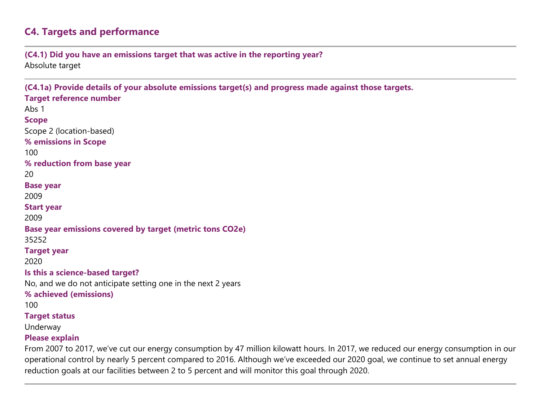# **C4. Targets and performance**

**(C4.1) Did you have an emissions target that was active in the reporting year?** Absolute target

**(C4.1a) Provide details of your absolute emissions target(s) and progress made against those targets. Target reference number** Abs 1 **Scope** Scope 2 (location-based) **% emissions in Scope** 100 **% reduction from base year** 20 **Base year** 2009 **Start year** 2009 **Base year emissions covered by target (metric tons CO2e)** 35252 **Target year** 2020 **Is this a science-based target?** No, and we do not anticipate setting one in the next 2 years **% achieved (emissions)** 100 **Target status** Underway **Please explain** From 2007 to 2017, we've cut our energy consumption by 47 million kilowatt hours. In 2017, we reduced our energy consumption in our

operational control by nearly 5 percent compared to 2016. Although we've exceeded our 2020 goal, we continue to set annual energy reduction goals at our facilities between 2 to 5 percent and will monitor this goal through 2020.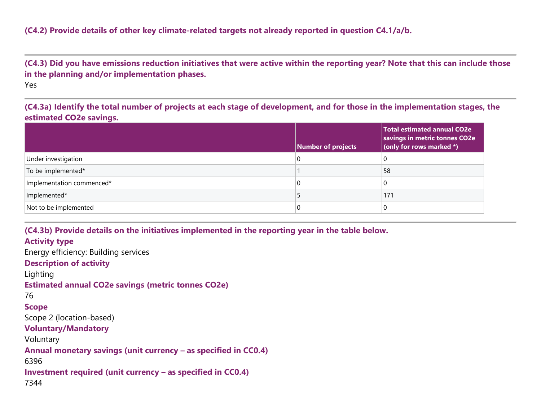**(C4.3) Did you have emissions reduction initiatives that were active within the reporting year? Note that this can include those in the planning and/or implementation phases.**

Yes

**(C4.3a) Identify the total number of projects at each stage of development, and for those in the implementation stages, the estimated CO2e savings.**

|                           | Number of projects | <b>Total estimated annual CO2e</b><br>savings in metric tonnes CO2e<br>(only for rows marked $*)$ |
|---------------------------|--------------------|---------------------------------------------------------------------------------------------------|
| Under investigation       |                    | U                                                                                                 |
| To be implemented*        |                    | 58                                                                                                |
| Implementation commenced* |                    | C                                                                                                 |
| Implemented*              |                    | 171                                                                                               |
| Not to be implemented     |                    | C                                                                                                 |

**(C4.3b) Provide details on the initiatives implemented in the reporting year in the table below. Activity type** Energy efficiency: Building services **Description of activity** Lighting **Estimated annual CO2e savings (metric tonnes CO2e)** 76 **Scope** Scope 2 (location-based) **Voluntary/Mandatory** Voluntary **Annual monetary savings (unit currency – as specified in CC0.4)** 6396 **Investment required (unit currency – as specified in CC0.4)** 7344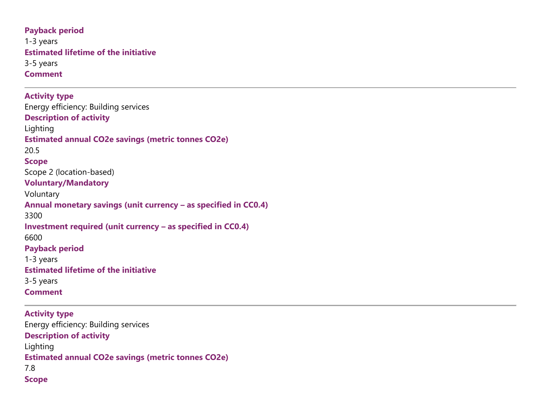**Payback period** 1-3 years **Estimated lifetime of the initiative** 3-5 years **Comment**

**Activity type** Energy efficiency: Building services **Description of activity** Lighting **Estimated annual CO2e savings (metric tonnes CO2e)** 20.5 **Scope** Scope 2 (location-based) **Voluntary/Mandatory** Voluntary **Annual monetary savings (unit currency – as specified in CC0.4)** 3300 **Investment required (unit currency – as specified in CC0.4)** 6600 **Payback period** 1-3 years **Estimated lifetime of the initiative** 3-5 years **Comment**

**Activity type** Energy efficiency: Building services **Description of activity** Lighting **Estimated annual CO2e savings (metric tonnes CO2e)** 7.8 **Scope**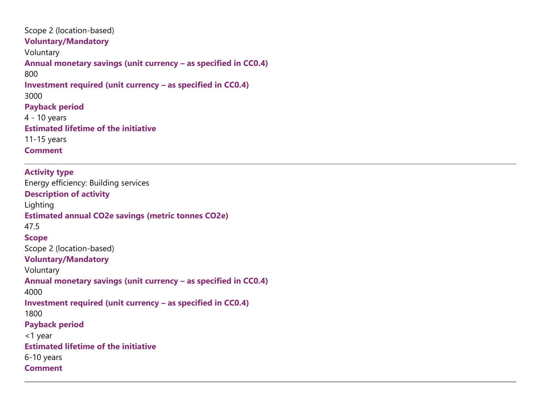Scope 2 (location-based) **Voluntary/Mandatory** Voluntary **Annual monetary savings (unit currency – as specified in CC0.4)** 800 **Investment required (unit currency – as specified in CC0.4)** 3000 **Payback period** 4 - 10 years **Estimated lifetime of the initiative** 11-15 years **Comment**

**Activity type** Energy efficiency: Building services **Description of activity** Lighting **Estimated annual CO2e savings (metric tonnes CO2e)** 47.5 **Scope** Scope 2 (location-based) **Voluntary/Mandatory** Voluntary **Annual monetary savings (unit currency – as specified in CC0.4)** 4000 **Investment required (unit currency – as specified in CC0.4)** 1800 **Payback period** <1 year **Estimated lifetime of the initiative** 6-10 years **Comment**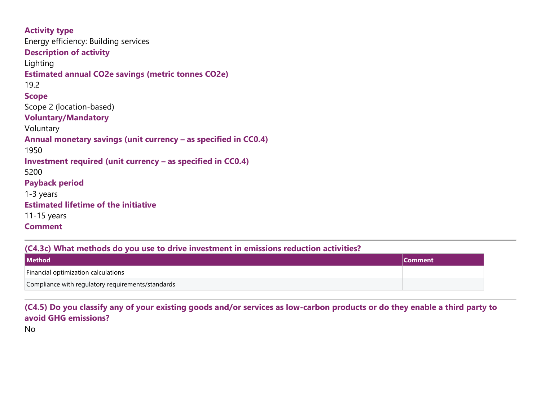| <b>Activity type</b>                                            |
|-----------------------------------------------------------------|
| Energy efficiency: Building services                            |
| <b>Description of activity</b>                                  |
| Lighting                                                        |
| <b>Estimated annual CO2e savings (metric tonnes CO2e)</b>       |
| 19.2                                                            |
| <b>Scope</b>                                                    |
| Scope 2 (location-based)                                        |
| <b>Voluntary/Mandatory</b>                                      |
| Voluntary                                                       |
| Annual monetary savings (unit currency - as specified in CC0.4) |
| 1950                                                            |
| Investment required (unit currency - as specified in CC0.4)     |
| 5200                                                            |
| <b>Payback period</b>                                           |
| 1-3 years                                                       |
| <b>Estimated lifetime of the initiative</b>                     |
| $11-15$ years                                                   |
| <b>Comment</b>                                                  |

#### **(C4.3c) What methods do you use to drive investment in emissions reduction activities?**

| <b>Method</b>                                     | <b>Comment</b> |
|---------------------------------------------------|----------------|
| Financial optimization calculations               |                |
| Compliance with regulatory requirements/standards |                |

#### **(C4.5) Do you classify any of your existing goods and/or services as low-carbon products or do they enable a third party to avoid GHG emissions?**

No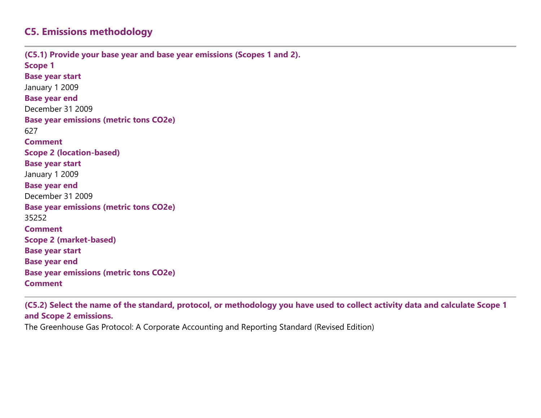# **C5. Emissions methodology**

**(C5.1) Provide your base year and base year emissions (Scopes 1 and 2). Scope 1 Base year start** January 1 2009 **Base year end** December 31 2009 **Base year emissions (metric tons CO2e)** 627 **Comment Scope 2 (location-based) Base year start** January 1 2009 **Base year end** December 31 2009 **Base year emissions (metric tons CO2e)** 35252 **Comment Scope 2 (market-based) Base year start Base year end Base year emissions (metric tons CO2e) Comment**

**(C5.2) Select the name of the standard, protocol, or methodology you have used to collect activity data and calculate Scope 1 and Scope 2 emissions.**

The Greenhouse Gas Protocol: A Corporate Accounting and Reporting Standard (Revised Edition)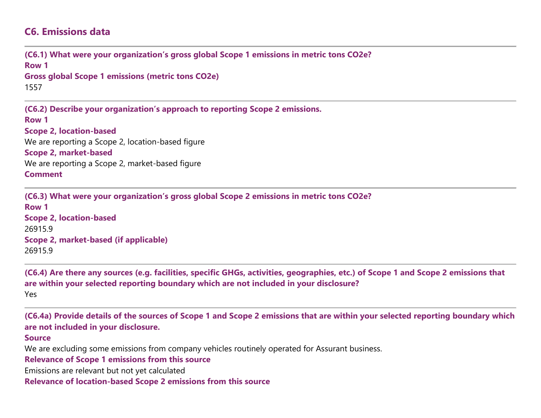### **C6. Emissions data**

**(C6.1) What were your organization's gross global Scope 1 emissions in metric tons CO2e? Row 1 Gross global Scope 1 emissions (metric tons CO2e)** 1557 **(C6.2) Describe your organization's approach to reporting Scope 2 emissions. Row 1 Scope 2, location-based** We are reporting a Scope 2, location-based figure **Scope 2, market-based** We are reporting a Scope 2, market-based figure **Comment**

**(C6.3) What were your organization's gross global Scope 2 emissions in metric tons CO2e? Row 1 Scope 2, location-based** 26915.9 **Scope 2, market-based (if applicable)** 26915.9

**(C6.4) Are there any sources (e.g. facilities, specific GHGs, activities, geographies, etc.) of Scope 1 and Scope 2 emissions that are within your selected reporting boundary which are not included in your disclosure?** Yes

**(C6.4a) Provide details of the sources of Scope 1 and Scope 2 emissions that are within your selected reporting boundary which are not included in your disclosure.**

#### **Source**

We are excluding some emissions from company vehicles routinely operated for Assurant business.

**Relevance of Scope 1 emissions from this source**

Emissions are relevant but not yet calculated

**Relevance of location-based Scope 2 emissions from this source**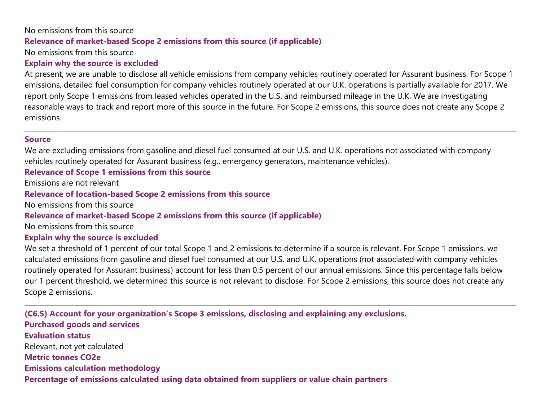# No emissions from this source **Relevance of market-based Scope 2 emissions from this source (if applicable)**

No emissions from this source

#### **Explain why the source is excluded**

At present, we are unable to disclose all vehicle emissions from company vehicles routinely operated for Assurant business. For Scope 1 emissions, detailed fuel consumption for company vehicles routinely operated at our U.K. operations is partially available for 2017. We report only Scope 1 emissions from leased vehicles operated in the U.S. and reimbursed mileage in the U.K. We are investigating reasonable ways to track and report more of this source in the future. For Scope 2 emissions, this source does not create any Scope 2 emissions.

#### **Source**

We are excluding emissions from gasoline and diesel fuel consumed at our U.S. and U.K. operations not associated with company vehicles routinely operated for Assurant business (e.g., emergency generators, maintenance vehicles).

#### **Relevance of Scope 1 emissions from this source**

Emissions are not relevant

#### **Relevance of location-based Scope 2 emissions from this source**

No emissions from this source

#### **Relevance of market-based Scope 2 emissions from this source (if applicable)**

No emissions from this source

#### **Explain why the source is excluded**

We set a threshold of 1 percent of our total Scope 1 and 2 emissions to determine if a source is relevant. For Scope 1 emissions, we calculated emissions from gasoline and diesel fuel consumed at our U.S. and U.K. operations (not associated with company vehicles routinely operated for Assurant business) account for less than 0.5 percent of our annual emissions. Since this percentage falls below our 1 percent threshold, we determined this source is not relevant to disclose. For Scope 2 emissions, this source does not create any Scope 2 emissions.

**(C6.5) Account for your organization's Scope 3 emissions, disclosing and explaining any exclusions. Purchased goods and services Evaluation status** Relevant, not yet calculated **Metric tonnes CO2e Emissions calculation methodology Percentage of emissions calculated using data obtained from suppliers or value chain partners**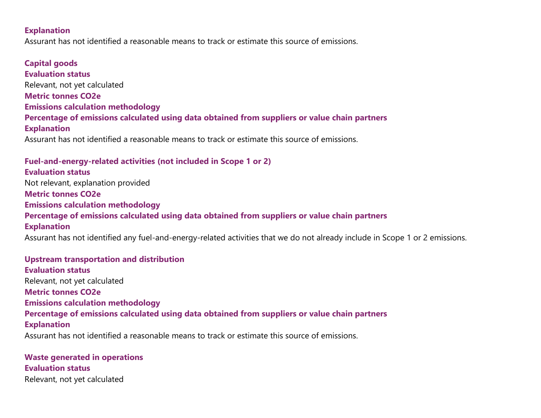#### **Explanation**

Assurant has not identified a reasonable means to track or estimate this source of emissions.

**Capital goods Evaluation status** Relevant, not yet calculated **Metric tonnes CO2e Emissions calculation methodology Percentage of emissions calculated using data obtained from suppliers or value chain partners Explanation** Assurant has not identified a reasonable means to track or estimate this source of emissions.

**Fuel-and-energy-related activities (not included in Scope 1 or 2) Evaluation status** Not relevant, explanation provided **Metric tonnes CO2e Emissions calculation methodology Percentage of emissions calculated using data obtained from suppliers or value chain partners Explanation**

Assurant has not identified any fuel-and-energy-related activities that we do not already include in Scope 1 or 2 emissions.

**Upstream transportation and distribution Evaluation status** Relevant, not yet calculated **Metric tonnes CO2e Emissions calculation methodology Percentage of emissions calculated using data obtained from suppliers or value chain partners Explanation** Assurant has not identified a reasonable means to track or estimate this source of emissions.

**Waste generated in operations Evaluation status** Relevant, not yet calculated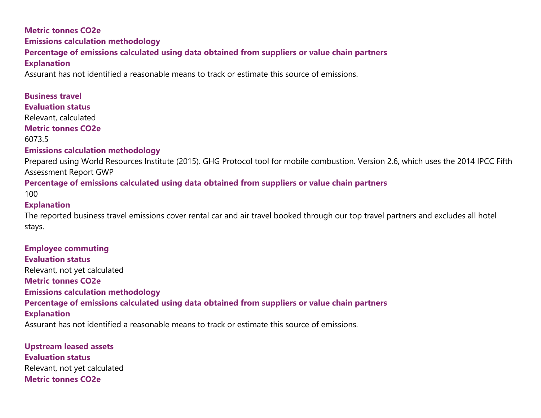# **Metric tonnes CO2e Emissions calculation methodology Percentage of emissions calculated using data obtained from suppliers or value chain partners Explanation**

Assurant has not identified a reasonable means to track or estimate this source of emissions.

#### **Business travel**

#### **Evaluation status**

Relevant, calculated

#### **Metric tonnes CO2e**

6073.5

#### **Emissions calculation methodology**

Prepared using World Resources Institute (2015). GHG Protocol tool for mobile combustion. Version 2.6, which uses the 2014 IPCC Fifth Assessment Report GWP

#### **Percentage of emissions calculated using data obtained from suppliers or value chain partners**

100

#### **Explanation**

The reported business travel emissions cover rental car and air travel booked through our top travel partners and excludes all hotel stays.

**Employee commuting Evaluation status** Relevant, not yet calculated **Metric tonnes CO2e Emissions calculation methodology Percentage of emissions calculated using data obtained from suppliers or value chain partners Explanation** Assurant has not identified a reasonable means to track or estimate this source of emissions.

**Upstream leased assets Evaluation status** Relevant, not yet calculated **Metric tonnes CO2e**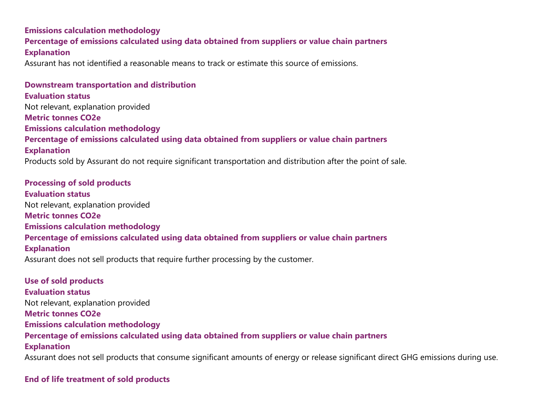# **Emissions calculation methodology Percentage of emissions calculated using data obtained from suppliers or value chain partners Explanation**

Assurant has not identified a reasonable means to track or estimate this source of emissions.

**Downstream transportation and distribution Evaluation status** Not relevant, explanation provided **Metric tonnes CO2e Emissions calculation methodology Percentage of emissions calculated using data obtained from suppliers or value chain partners Explanation** Products sold by Assurant do not require significant transportation and distribution after the point of sale.

**Processing of sold products Evaluation status** Not relevant, explanation provided **Metric tonnes CO2e Emissions calculation methodology Percentage of emissions calculated using data obtained from suppliers or value chain partners Explanation** Assurant does not sell products that require further processing by the customer.

**Use of sold products Evaluation status** Not relevant, explanation provided **Metric tonnes CO2e Emissions calculation methodology Percentage of emissions calculated using data obtained from suppliers or value chain partners Explanation** Assurant does not sell products that consume significant amounts of energy or release significant direct GHG emissions during use.

#### **End of life treatment of sold products**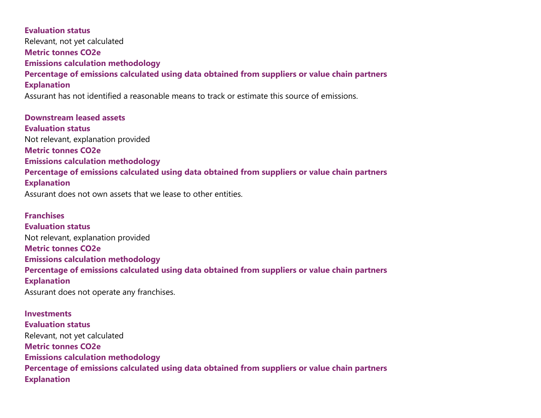**Evaluation status** Relevant, not yet calculated **Metric tonnes CO2e Emissions calculation methodology Percentage of emissions calculated using data obtained from suppliers or value chain partners Explanation** Assurant has not identified a reasonable means to track or estimate this source of emissions.

**Downstream leased assets Evaluation status** Not relevant, explanation provided **Metric tonnes CO2e Emissions calculation methodology Percentage of emissions calculated using data obtained from suppliers or value chain partners Explanation** Assurant does not own assets that we lease to other entities.

**Franchises Evaluation status** Not relevant, explanation provided **Metric tonnes CO2e Emissions calculation methodology Percentage of emissions calculated using data obtained from suppliers or value chain partners Explanation** Assurant does not operate any franchises.

**Investments Evaluation status** Relevant, not yet calculated **Metric tonnes CO2e Emissions calculation methodology Percentage of emissions calculated using data obtained from suppliers or value chain partners Explanation**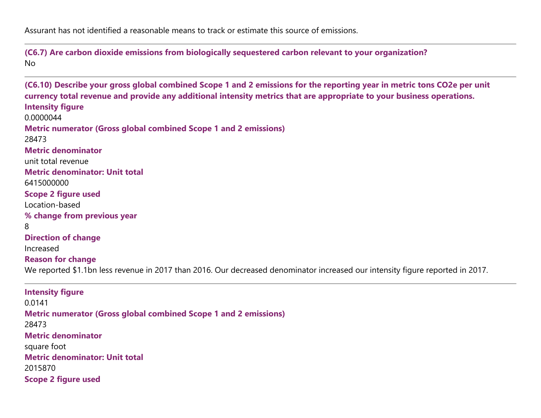Assurant has not identified a reasonable means to track or estimate this source of emissions.

**(C6.7) Are carbon dioxide emissions from biologically sequestered carbon relevant to your organization?** No

**(C6.10) Describe your gross global combined Scope 1 and 2 emissions for the reporting year in metric tons CO2e per unit currency total revenue and provide any additional intensity metrics that are appropriate to your business operations. Intensity figure** 0.0000044 **Metric numerator (Gross global combined Scope 1 and 2 emissions)** 28473 **Metric denominator** unit total revenue **Metric denominator: Unit total** 6415000000 **Scope 2 figure used** Location-based **% change from previous year** 8 **Direction of change** Increased **Reason for change** We reported \$1.1bn less revenue in 2017 than 2016. Our decreased denominator increased our intensity figure reported in 2017. **Intensity figure** 0.0141 **Metric numerator (Gross global combined Scope 1 and 2 emissions)**

28473 **Metric denominator** square foot **Metric denominator: Unit total** 2015870 **Scope 2 figure used**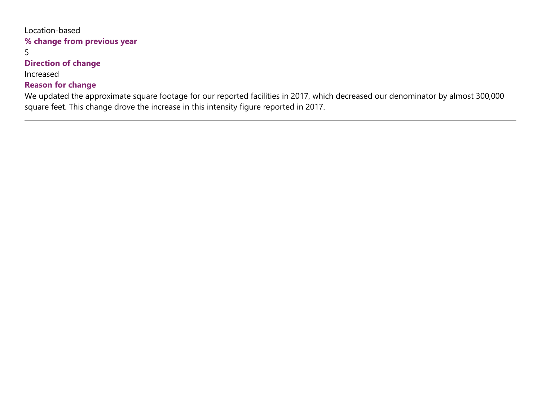# Location-based **% change from previous year**

5

#### **Direction of change**

Increased

### **Reason for change**

We updated the approximate square footage for our reported facilities in 2017, which decreased our denominator by almost 300,000 square feet. This change drove the increase in this intensity figure reported in 2017.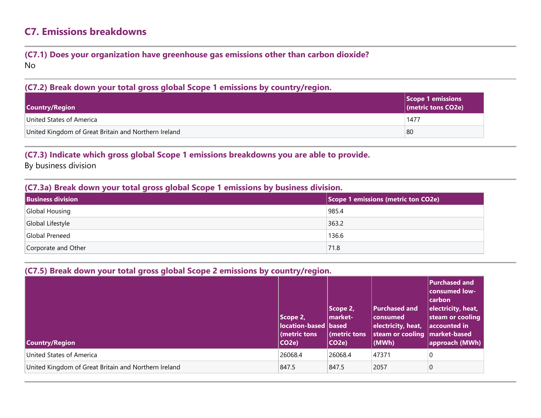# **C7. Emissions breakdowns**

#### **(C7.1) Does your organization have greenhouse gas emissions other than carbon dioxide?** No

#### **(C7.2) Break down your total gross global Scope 1 emissions by country/region.**

| <b>Country/Region</b>                                | Scope 1 emissions |
|------------------------------------------------------|-------------------|
| United States of America                             | 1477              |
| United Kingdom of Great Britain and Northern Ireland | 80                |

#### **(C7.3) Indicate which gross global Scope 1 emissions breakdowns you are able to provide.**

By business division

#### **(C7.3a) Break down your total gross global Scope 1 emissions by business division.**

| <b>Business division</b> | $\vert$ Scope 1 emissions (metric ton CO2e) $\vert$ |
|--------------------------|-----------------------------------------------------|
| Global Housing           | 985.4                                               |
| Global Lifestyle         | 363.2                                               |
| Global Preneed           | 136.6                                               |
| Corporate and Other      | 71.8                                                |

#### **(C7.5) Break down your total gross global Scope 2 emissions by country/region.**

| <b>Country/Region</b>                                | Scope 2,<br>location-based based<br>(metric tons<br>CO <sub>2</sub> e) | Scope 2,<br>market-<br>(metric tons<br>CO2e | <b>Purchased and</b><br>consumed<br>electricity, heat,<br>steam or cooling   market-based<br>(MWh) | Purchased and<br> consumed low-<br> carbon <br>electricity, heat,<br>steam or cooling<br>$ $ accounted in<br>approach (MWh) |
|------------------------------------------------------|------------------------------------------------------------------------|---------------------------------------------|----------------------------------------------------------------------------------------------------|-----------------------------------------------------------------------------------------------------------------------------|
| United States of America                             | 26068.4                                                                | 26068.4                                     | 47371                                                                                              | 0                                                                                                                           |
| United Kingdom of Great Britain and Northern Ireland | 847.5                                                                  | 847.5                                       | 2057                                                                                               | $\overline{0}$                                                                                                              |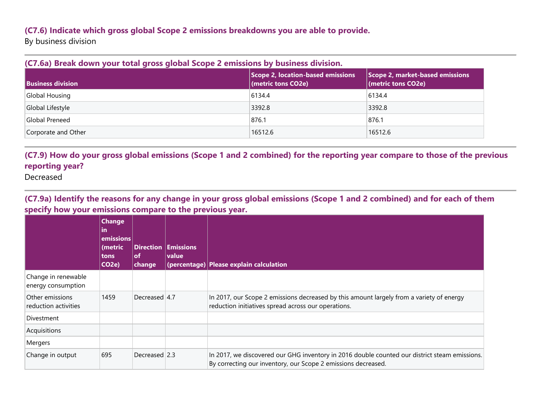#### **(C7.6) Indicate which gross global Scope 2 emissions breakdowns you are able to provide.**

By business division

|  |  |  | (C7.6a) Break down your total gross global Scope 2 emissions by business division. |
|--|--|--|------------------------------------------------------------------------------------|
|  |  |  |                                                                                    |

| <b>Business division</b> | Scope 2, location-based emissions<br>(metric tons CO2e) | Scope 2, market-based emissions<br>$ $ (metric tons CO2e) |
|--------------------------|---------------------------------------------------------|-----------------------------------------------------------|
| Global Housing           | 6134.4                                                  | 6134.4                                                    |
| Global Lifestyle         | 3392.8                                                  | 3392.8                                                    |
| Global Preneed           | 876.1                                                   | 876.1                                                     |
| Corporate and Other      | 16512.6                                                 | 16512.6                                                   |

**(C7.9) How do your gross global emissions (Scope 1 and 2 combined) for the reporting year compare to those of the previous reporting year?**

Decreased

**(C7.9a) Identify the reasons for any change in your gross global emissions (Scope 1 and 2 combined) and for each of them specify how your emissions compare to the previous year.**

|                                           | <b>Change</b><br>lin<br>emissions<br>(metric<br>tons<br>CO <sub>2</sub> e) | <b>Direction</b><br><b>of</b><br>change | <b>Emissions</b><br>value | (percentage) Please explain calculation                                                                                                                        |
|-------------------------------------------|----------------------------------------------------------------------------|-----------------------------------------|---------------------------|----------------------------------------------------------------------------------------------------------------------------------------------------------------|
| Change in renewable<br>energy consumption |                                                                            |                                         |                           |                                                                                                                                                                |
| Other emissions<br>reduction activities   | 1459                                                                       | Decreased 4.7                           |                           | In 2017, our Scope 2 emissions decreased by this amount largely from a variety of energy<br>reduction initiatives spread across our operations.                |
| <b>Divestment</b>                         |                                                                            |                                         |                           |                                                                                                                                                                |
| Acquisitions                              |                                                                            |                                         |                           |                                                                                                                                                                |
| Mergers                                   |                                                                            |                                         |                           |                                                                                                                                                                |
| Change in output                          | 695                                                                        | Decreased 2.3                           |                           | In 2017, we discovered our GHG inventory in 2016 double counted our district steam emissions.<br>By correcting our inventory, our Scope 2 emissions decreased. |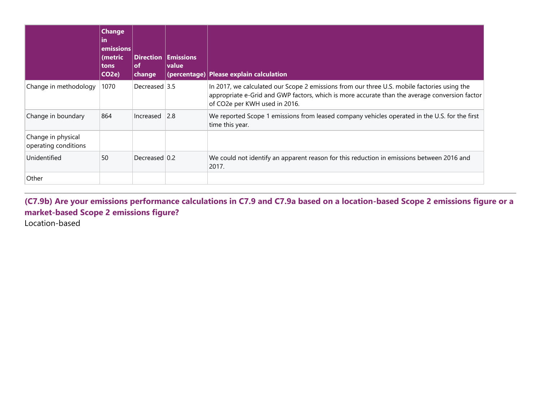|                                            | <b>Change</b><br>lin<br>emissions<br>(metric<br>tons<br>CO <sub>2</sub> e) | <b>Direction</b><br>of<br>change | <b>Emissions</b><br><b>value</b> | (percentage) Please explain calculation                                                                                                                                                                                       |
|--------------------------------------------|----------------------------------------------------------------------------|----------------------------------|----------------------------------|-------------------------------------------------------------------------------------------------------------------------------------------------------------------------------------------------------------------------------|
| Change in methodology                      | 1070                                                                       | Decreased 3.5                    |                                  | In 2017, we calculated our Scope 2 emissions from our three U.S. mobile factories using the<br>appropriate e-Grid and GWP factors, which is more accurate than the average conversion factor<br>of CO2e per KWH used in 2016. |
| Change in boundary                         | 864                                                                        | Increased                        | 2.8                              | We reported Scope 1 emissions from leased company vehicles operated in the U.S. for the first<br>time this year.                                                                                                              |
| Change in physical<br>operating conditions |                                                                            |                                  |                                  |                                                                                                                                                                                                                               |
| Unidentified                               | 50                                                                         | Decreased 0.2                    |                                  | We could not identify an apparent reason for this reduction in emissions between 2016 and<br>2017.                                                                                                                            |
| Other                                      |                                                                            |                                  |                                  |                                                                                                                                                                                                                               |

**(C7.9b) Are your emissions performance calculations in C7.9 and C7.9a based on a location-based Scope 2 emissions figure or a market-based Scope 2 emissions figure?**

Location-based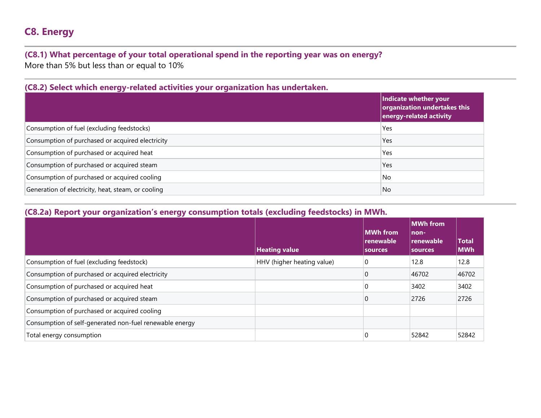# **C8. Energy**

### **(C8.1) What percentage of your total operational spend in the reporting year was on energy?** More than 5% but less than or equal to 10%

| (C8.2) Select which energy-related activities your organization has undertaken. |                                                                                  |
|---------------------------------------------------------------------------------|----------------------------------------------------------------------------------|
|                                                                                 | Indicate whether your<br>organization undertakes this<br>energy-related activity |
| Consumption of fuel (excluding feedstocks)                                      | Yes                                                                              |
| Consumption of purchased or acquired electricity                                | Yes                                                                              |
| Consumption of purchased or acquired heat                                       | Yes                                                                              |
| Consumption of purchased or acquired steam                                      | Yes                                                                              |
| Consumption of purchased or acquired cooling                                    | No                                                                               |
| Generation of electricity, heat, steam, or cooling                              | No                                                                               |

# **(C8.2) Select which energy-related activities your organization has undertaken.**

#### **(C8.2a) Report your organization's energy consumption totals (excluding feedstocks) in MWh.**

|                                                         | <b>Heating value</b>       | <b>MWh from</b><br>renewable<br><b>sources</b> | <b>MWh</b> from<br>non-<br>renewable<br><b>sources</b> | Total<br><b>MWh</b> |
|---------------------------------------------------------|----------------------------|------------------------------------------------|--------------------------------------------------------|---------------------|
| Consumption of fuel (excluding feedstock)               | HHV (higher heating value) | 0                                              | 12.8                                                   | 12.8                |
| Consumption of purchased or acquired electricity        |                            | 0                                              | 46702                                                  | 46702               |
| Consumption of purchased or acquired heat               |                            | 0                                              | 3402                                                   | 3402                |
| Consumption of purchased or acquired steam              |                            | 0                                              | 2726                                                   | 2726                |
| Consumption of purchased or acquired cooling            |                            |                                                |                                                        |                     |
| Consumption of self-generated non-fuel renewable energy |                            |                                                |                                                        |                     |
| Total energy consumption                                |                            | 0                                              | 52842                                                  | 52842               |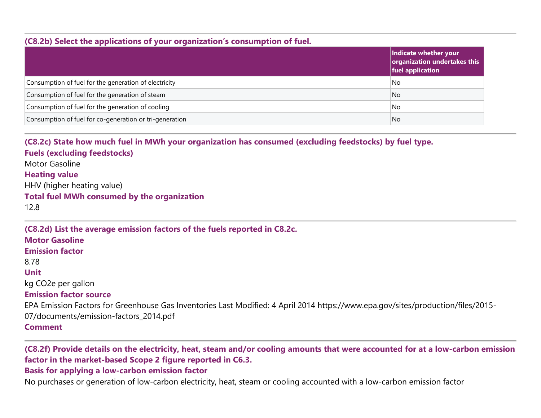#### **(C8.2b) Select the applications of your organization's consumption of fuel.**

|                                                         | Indicate whether your<br>$ $ organization undertakes this<br>fuel application |
|---------------------------------------------------------|-------------------------------------------------------------------------------|
| Consumption of fuel for the generation of electricity   | No                                                                            |
| Consumption of fuel for the generation of steam         | No                                                                            |
| Consumption of fuel for the generation of cooling       | No                                                                            |
| Consumption of fuel for co-generation or tri-generation | No.                                                                           |

**(C8.2c) State how much fuel in MWh your organization has consumed (excluding feedstocks) by fuel type. Fuels (excluding feedstocks)** Motor Gasoline **Heating value** HHV (higher heating value) **Total fuel MWh consumed by the organization** 12.8

**(C8.2d) List the average emission factors of the fuels reported in C8.2c. Motor Gasoline Emission factor** 8.78 **Unit** kg CO2e per gallon **Emission factor source** EPA Emission Factors for Greenhouse Gas Inventories Last Modified: 4 April 2014 https://www.epa.gov/sites/production/files/2015- 07/documents/emission-factors\_2014.pdf **Comment**

**(C8.2f) Provide details on the electricity, heat, steam and/or cooling amounts that were accounted for at a low-carbon emission factor in the market-based Scope 2 figure reported in C6.3. Basis for applying a low-carbon emission factor**

No purchases or generation of low-carbon electricity, heat, steam or cooling accounted with a low-carbon emission factor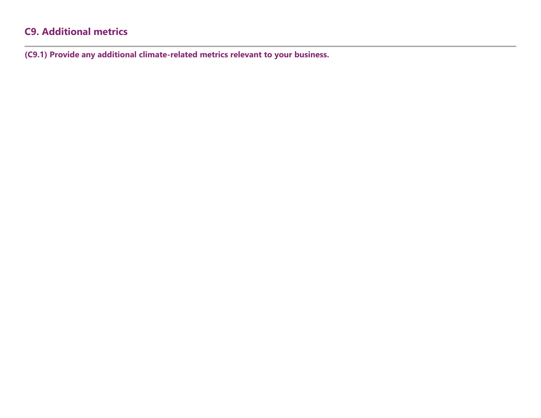# **C9. Additional metrics**

**(C9.1) Provide any additional climate-related metrics relevant to your business.**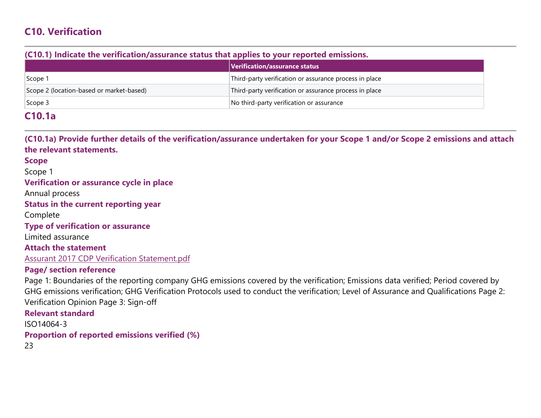# **C10. Verification**

#### **(C10.1) Indicate the verification/assurance status that applies to your reported emissions.**

|                                          | Verification/assurance status                          |
|------------------------------------------|--------------------------------------------------------|
| Scope 1                                  | Third-party verification or assurance process in place |
| Scope 2 (location-based or market-based) | Third-party verification or assurance process in place |
| $\vert$ Scope 3                          | No third-party verification or assurance               |

### **C10.1a**

**(C10.1a) Provide further details of the verification/assurance undertaken for your Scope 1 and/or Scope 2 emissions and attach the relevant statements.**

#### **Scope**

Scope 1

**Verification or assurance cycle in place**

Annual process

**Status in the current reporting year**

Complete

**Type of verification or assurance**

Limited assurance

**Attach the statement** Assurant 2017 CDP Verification [Statement.pdf](https://www.cdp.net/en/formatted_responses/files?file_path=k9me76vz7u2sozvqoi2gbw-cdp-credit360-com/7FhRe1Yax0yvr6iJeN2LZw/Assurant2017CDPVerificationStatement.pdf)

#### **Page/ section reference**

Page 1: Boundaries of the reporting company GHG emissions covered by the verification; Emissions data verified; Period covered by GHG emissions verification; GHG Verification Protocols used to conduct the verification; Level of Assurance and Qualifications Page 2: Verification Opinion Page 3: Sign-off

**Relevant standard** ISO14064-3 **Proportion of reported emissions verified (%)** 23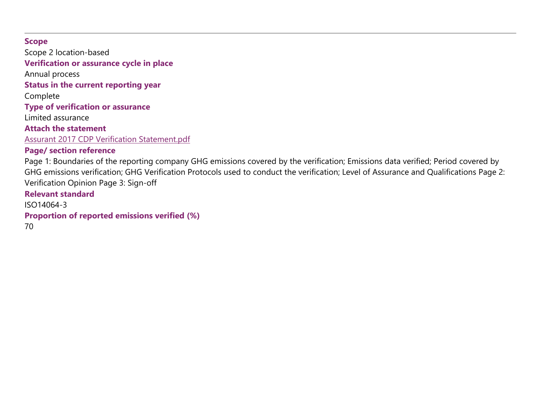#### **Scope**

Scope 2 location-based

**Verification or assurance cycle in place**

Annual process

**Status in the current reporting year**

Complete

**Type of verification or assurance**

Limited assurance

**Attach the statement**

Assurant 2017 CDP Verification [Statement.pdf](https://www.cdp.net/en/formatted_responses/files?file_path=k9me76vz7u2sozvqoi2gbw-cdp-credit360-com/7FhRe1Yax0yvr6iJeN2LZw/Assurant2017CDPVerificationStatement.pdf)

### **Page/ section reference**

Page 1: Boundaries of the reporting company GHG emissions covered by the verification; Emissions data verified; Period covered by GHG emissions verification; GHG Verification Protocols used to conduct the verification; Level of Assurance and Qualifications Page 2: Verification Opinion Page 3: Sign-off

**Relevant standard** ISO14064-3 **Proportion of reported emissions verified (%)** 70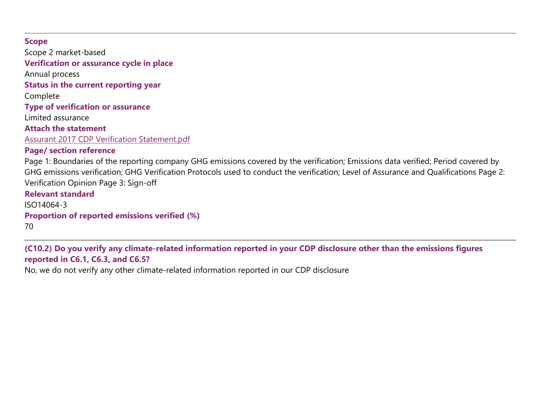#### **Scope**

Scope 2 market-based **Verification or assurance cycle in place** Annual process **Status in the current reporting year** Complete **Type of verification or assurance** Limited assurance **Attach the statement** Assurant 2017 CDP Verification [Statement.pdf](https://www.cdp.net/en/formatted_responses/files?file_path=k9me76vz7u2sozvqoi2gbw-cdp-credit360-com/7FhRe1Yax0yvr6iJeN2LZw/Assurant2017CDPVerificationStatement.pdf) **Page/ section reference** Page 1: Boundaries of the reporting company GHG emissions covered by the verification; Emissions data verified; Period covered by GHG emissions verification; GHG Verification Protocols used to conduct the verification; Level of Assurance and Qualifications Page 2: Verification Opinion Page 3: Sign-off **Relevant standard** ISO14064-3 **Proportion of reported emissions verified (%)** 70

**(C10.2) Do you verify any climate-related information reported in your CDP disclosure other than the emissions figures reported in C6.1, C6.3, and C6.5?**

No, we do not verify any other climate-related information reported in our CDP disclosure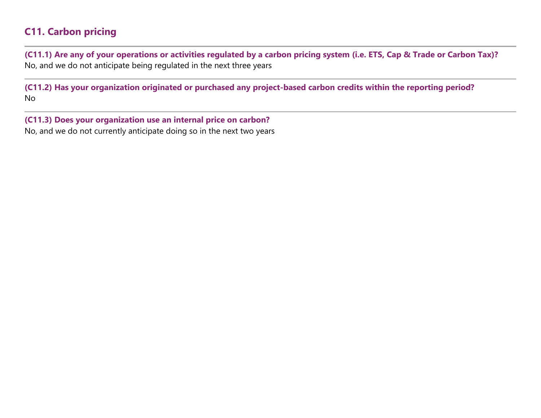# **C11. Carbon pricing**

**(C11.1) Are any of your operations or activities regulated by a carbon pricing system (i.e. ETS, Cap & Trade or Carbon Tax)?** No, and we do not anticipate being regulated in the next three years

**(C11.2) Has your organization originated or purchased any project-based carbon credits within the reporting period?** No

**(C11.3) Does your organization use an internal price on carbon?** No, and we do not currently anticipate doing so in the next two years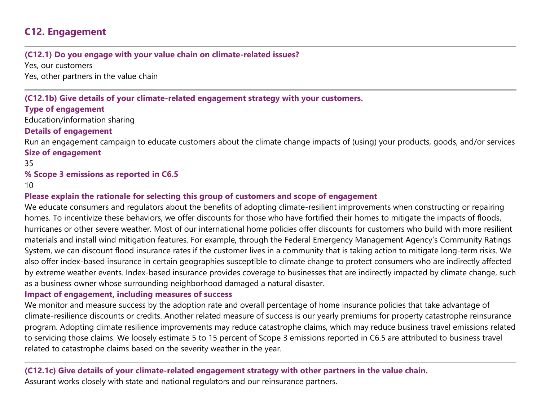# **C12. Engagement**

#### **(C12.1) Do you engage with your value chain on climate-related issues?**

Yes, our customers Yes, other partners in the value chain

#### **(C12.1b) Give details of your climate-related engagement strategy with your customers.**

#### **Type of engagement**

Education/information sharing

#### **Details of engagement**

Run an engagement campaign to educate customers about the climate change impacts of (using) your products, goods, and/or services **Size of engagement**

35

#### **% Scope 3 emissions as reported in C6.5**

10

#### **Please explain the rationale for selecting this group of customers and scope of engagement**

We educate consumers and regulators about the benefits of adopting climate-resilient improvements when constructing or repairing homes. To incentivize these behaviors, we offer discounts for those who have fortified their homes to mitigate the impacts of floods, hurricanes or other severe weather. Most of our international home policies offer discounts for customers who build with more resilient materials and install wind mitigation features. For example, through the Federal Emergency Management Agency's Community Ratings System, we can discount flood insurance rates if the customer lives in a community that is taking action to mitigate long-term risks. We also offer index-based insurance in certain geographies susceptible to climate change to protect consumers who are indirectly affected by extreme weather events. Index-based insurance provides coverage to businesses that are indirectly impacted by climate change, such as a business owner whose surrounding neighborhood damaged a natural disaster.

#### **Impact of engagement, including measures of success**

We monitor and measure success by the adoption rate and overall percentage of home insurance policies that take advantage of climate-resilience discounts or credits. Another related measure of success is our yearly premiums for property catastrophe reinsurance program. Adopting climate resilience improvements may reduce catastrophe claims, which may reduce business travel emissions related to servicing those claims. We loosely estimate 5 to 15 percent of Scope 3 emissions reported in C6.5 are attributed to business travel related to catastrophe claims based on the severity weather in the year.

#### **(C12.1c) Give details of your climate-related engagement strategy with other partners in the value chain.** Assurant works closely with state and national regulators and our reinsurance partners.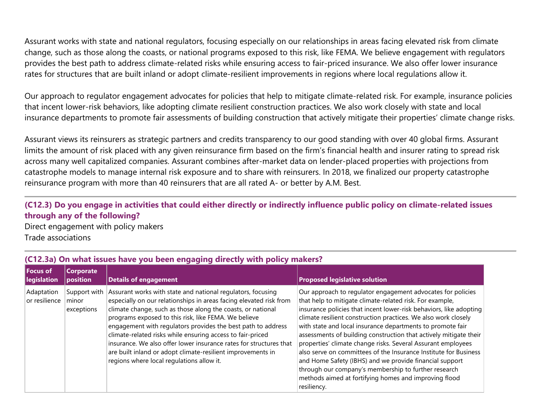Assurant works with state and national regulators, focusing especially on our relationships in areas facing elevated risk from climate change, such as those along the coasts, or national programs exposed to this risk, like FEMA. We believe engagement with regulators provides the best path to address climate-related risks while ensuring access to fair-priced insurance. We also offer lower insurance rates for structures that are built inland or adopt climate-resilient improvements in regions where local regulations allow it.

Our approach to regulator engagement advocates for policies that help to mitigate climate-related risk. For example, insurance policies that incent lower-risk behaviors, like adopting climate resilient construction practices. We also work closely with state and local insurance departments to promote fair assessments of building construction that actively mitigate their properties' climate change risks.

Assurant views its reinsurers as strategic partners and credits transparency to our good standing with over 40 global firms. Assurant limits the amount of risk placed with any given reinsurance firm based on the firm's financial health and insurer rating to spread risk across many well capitalized companies. Assurant combines after-market data on lender-placed properties with projections from catastrophe models to manage internal risk exposure and to share with reinsurers. In 2018, we finalized our property catastrophe reinsurance program with more than 40 reinsurers that are all rated A- or better by A.M. Best.

#### **(C12.3) Do you engage in activities that could either directly or indirectly influence public policy on climate-related issues through any of the following?**

Direct engagement with policy makers Trade associations

| <b>Focus of</b><br><b>legislation</b><br>position | Corporate                  | <b>Details of engagement</b>                                                                                                                                                                                                                                                                                                                                                                                                                                                                                                                                             | <b>Proposed legislative solution</b>                                                                                                                                                                                                                                                                                                                                                                                                                                                                                                                                                                                                                                                                                              |
|---------------------------------------------------|----------------------------|--------------------------------------------------------------------------------------------------------------------------------------------------------------------------------------------------------------------------------------------------------------------------------------------------------------------------------------------------------------------------------------------------------------------------------------------------------------------------------------------------------------------------------------------------------------------------|-----------------------------------------------------------------------------------------------------------------------------------------------------------------------------------------------------------------------------------------------------------------------------------------------------------------------------------------------------------------------------------------------------------------------------------------------------------------------------------------------------------------------------------------------------------------------------------------------------------------------------------------------------------------------------------------------------------------------------------|
| Adaptation<br>or resilience<br>minor              | Support with<br>exceptions | Assurant works with state and national regulators, focusing<br>especially on our relationships in areas facing elevated risk from<br>climate change, such as those along the coasts, or national<br>programs exposed to this risk, like FEMA. We believe<br>engagement with regulators provides the best path to address<br>climate-related risks while ensuring access to fair-priced<br>insurance. We also offer lower insurance rates for structures that<br>are built inland or adopt climate-resilient improvements in<br>regions where local regulations allow it. | Our approach to regulator engagement advocates for policies<br>that help to mitigate climate-related risk. For example,<br>insurance policies that incent lower-risk behaviors, like adopting<br>climate resilient construction practices. We also work closely<br>with state and local insurance departments to promote fair<br>assessments of building construction that actively mitigate their<br>properties' climate change risks. Several Assurant employees<br>also serve on committees of the Insurance Institute for Business<br>and Home Safety (IBHS) and we provide financial support<br>through our company's membership to further research<br>methods aimed at fortifying homes and improving flood<br>resiliency. |

#### **(C12.3a) On what issues have you been engaging directly with policy makers?**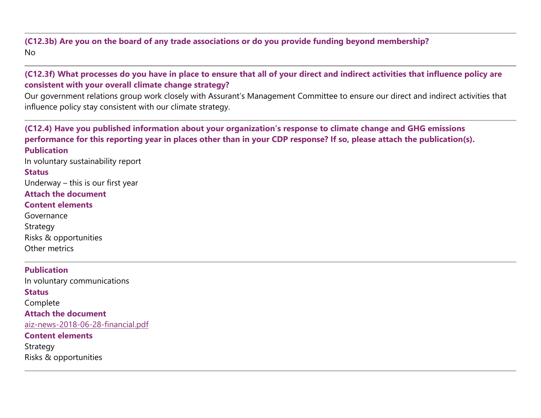#### **(C12.3b) Are you on the board of any trade associations or do you provide funding beyond membership?** No

#### **(C12.3f) What processes do you have in place to ensure that all of your direct and indirect activities that influence policy are consistent with your overall climate change strategy?**

Our government relations group work closely with Assurant's Management Committee to ensure our direct and indirect activities that influence policy stay consistent with our climate strategy.

**(C12.4) Have you published information about your organization's response to climate change and GHG emissions performance for this reporting year in places other than in your CDP response? If so, please attach the publication(s). Publication** In voluntary sustainability report **Status** Underway – this is our first year **Attach the document Content elements** Governance Strategy Risks & opportunities Other metrics **Publication** In voluntary communications **Status** Complete **Attach the document** [aiz-news-2018-06-28-financial.pdf](https://www.cdp.net/en/formatted_responses/files?file_path=k9me76vz7u2sozvqoi2gbw-cdp-credit360-com/tJVWeJlCS0GUAaWbsAcUtQ/aiznews20180628financial.pdf) **Content elements**

Strategy Risks & opportunities